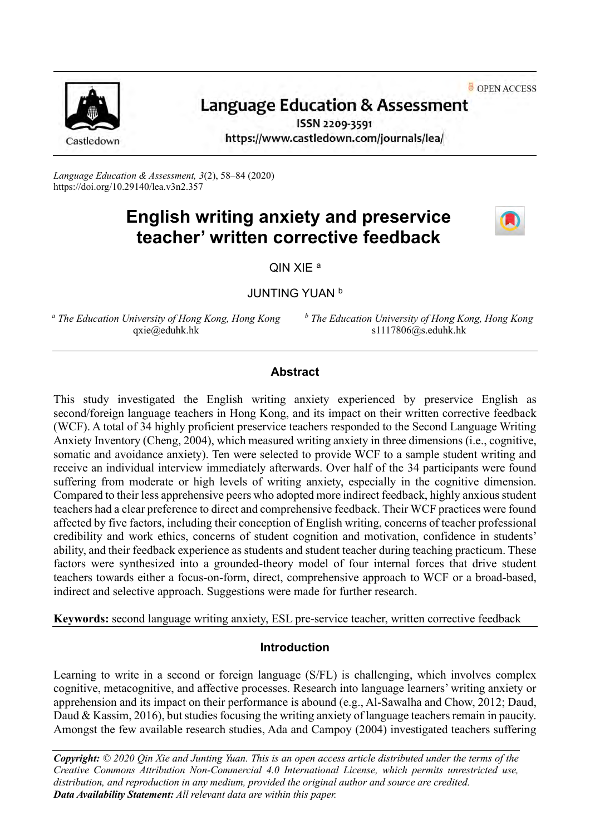OPEN ACCESS



# **Language Education & Assessment**

ISSN 2209-3591 https://www.castledown.com/journals/lea/

*Language Education & Assessment, 3*(2), 58–84 (2020) <https://doi.org/10.29140/lea.v3n2.357>

# **English writing anxiety and preservice teacher' written corrective feedback**



QIN XIE <sup>a</sup>

JUNTING YUAN <sup>b</sup>

*<sup>a</sup> The Education University of Hong Kong, Hong Kong* qxie@eduhk.hk

*<sup>b</sup> The Education University of Hong Kong, Hong Kong* s1117806@s.eduhk.hk

## **Abstract**

This study investigated the English writing anxiety experienced by preservice English as second/foreign language teachers in Hong Kong, and its impact on their written corrective feedback (WCF). A total of 34 highly proficient preservice teachers responded to the Second Language Writing Anxiety Inventory (Cheng, 2004), which measured writing anxiety in three dimensions (i.e., cognitive, somatic and avoidance anxiety). Ten were selected to provide WCF to a sample student writing and receive an individual interview immediately afterwards. Over half of the 34 participants were found suffering from moderate or high levels of writing anxiety, especially in the cognitive dimension. Compared to their less apprehensive peers who adopted more indirect feedback, highly anxious student teachers had a clear preference to direct and comprehensive feedback. Their WCF practices were found affected by five factors, including their conception of English writing, concerns of teacher professional credibility and work ethics, concerns of student cognition and motivation, confidence in students' ability, and their feedback experience as students and student teacher during teaching practicum. These factors were synthesized into a grounded-theory model of four internal forces that drive student teachers towards either a focus-on-form, direct, comprehensive approach to WCF or a broad-based, indirect and selective approach. Suggestions were made for further research.

**Keywords:** second language writing anxiety, ESL pre-service teacher, written corrective feedback

# **Introduction**

Learning to write in a second or foreign language (S/FL) is challenging, which involves complex cognitive, metacognitive, and affective processes. Research into language learners' writing anxiety or apprehension and its impact on their performance is abound (e.g., Al-Sawalha and Chow, 2012; Daud, Daud & Kassim, 2016), but studies focusing the writing anxiety of language teachers remain in paucity. Amongst the few available research studies, Ada and Campoy (2004) investigated teachers suffering

*Copyright: © 2020 Qin Xie and Junting Yuan. This is an open access article distributed under the terms of the [Creative Commons Attribution Non-Commercial 4.0 International License,](http://creativecommons.org/licenses/by-nc-nd/4.0) which permits unrestricted use, distribution, and reproduction in any medium, provided the original author and source are credited. Data Availability Statement: All relevant data are within this paper.*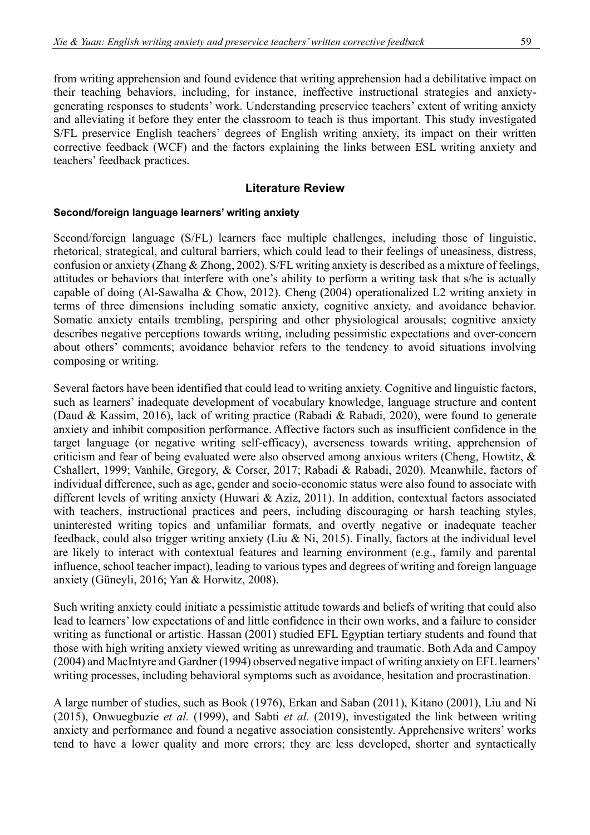from writing apprehension and found evidence that writing apprehension had a debilitative impact on their teaching behaviors, including, for instance, ineffective instructional strategies and anxietygenerating responses to students' work. Understanding preservice teachers' extent of writing anxiety and alleviating it before they enter the classroom to teach is thus important. This study investigated S/FL preservice English teachers' degrees of English writing anxiety, its impact on their written corrective feedback (WCF) and the factors explaining the links between ESL writing anxiety and teachers' feedback practices.

## **Literature Review**

#### **Second/foreign language learners' writing anxiety**

Second/foreign language (S/FL) learners face multiple challenges, including those of linguistic, rhetorical, strategical, and cultural barriers, which could lead to their feelings of uneasiness, distress, confusion or anxiety (Zhang & Zhong, 2002). S/FL writing anxiety is described as a mixture of feelings, attitudes or behaviors that interfere with one's ability to perform a writing task that s/he is actually capable of doing (Al-Sawalha & Chow, 2012). Cheng (2004) operationalized L2 writing anxiety in terms of three dimensions including somatic anxiety, cognitive anxiety, and avoidance behavior. Somatic anxiety entails trembling, perspiring and other physiological arousals; cognitive anxiety describes negative perceptions towards writing, including pessimistic expectations and over-concern about others' comments; avoidance behavior refers to the tendency to avoid situations involving composing or writing.

Several factors have been identified that could lead to writing anxiety. Cognitive and linguistic factors, such as learners' inadequate development of vocabulary knowledge, language structure and content (Daud & Kassim, 2016), lack of writing practice (Rabadi & Rabadi, 2020), were found to generate anxiety and inhibit composition performance. Affective factors such as insufficient confidence in the target language (or negative writing self-efficacy), averseness towards writing, apprehension of criticism and fear of being evaluated were also observed among anxious writers (Cheng, Howtitz, & Cshallert, 1999; Vanhile, Gregory, & Corser, 2017; Rabadi & Rabadi, 2020). Meanwhile, factors of individual difference, such as age, gender and socio-economic status were also found to associate with different levels of writing anxiety (Huwari & Aziz, 2011). In addition, contextual factors associated with teachers, instructional practices and peers, including discouraging or harsh teaching styles, uninterested writing topics and unfamiliar formats, and overtly negative or inadequate teacher feedback, could also trigger writing anxiety (Liu & Ni, 2015). Finally, factors at the individual level are likely to interact with contextual features and learning environment (e.g., family and parental influence, school teacher impact), leading to various types and degrees of writing and foreign language anxiety (Güneyli, 2016; Yan & Horwitz, 2008).

Such writing anxiety could initiate a pessimistic attitude towards and beliefs of writing that could also lead to learners' low expectations of and little confidence in their own works, and a failure to consider writing as functional or artistic. Hassan (2001) studied EFL Egyptian tertiary students and found that those with high writing anxiety viewed writing as unrewarding and traumatic. Both Ada and Campoy (2004) and MacIntyre and Gardner (1994) observed negative impact of writing anxiety on EFL learners' writing processes, including behavioral symptoms such as avoidance, hesitation and procrastination.

A large number of studies, such as Book (1976), Erkan and Saban (2011), Kitano (2001), Liu and Ni (2015), Onwuegbuzie *et al.* (1999), and Sabti *et al.* (2019), investigated the link between writing anxiety and performance and found a negative association consistently. Apprehensive writers' works tend to have a lower quality and more errors; they are less developed, shorter and syntactically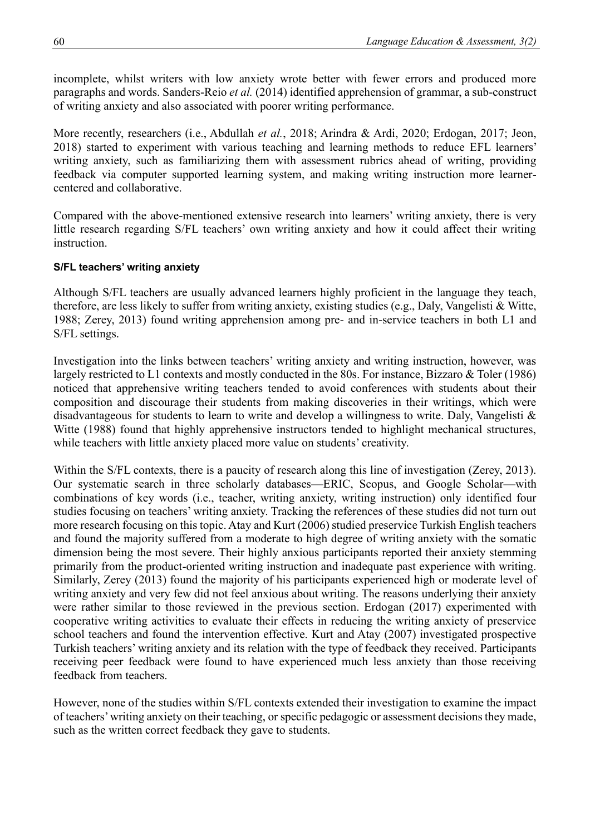incomplete, whilst writers with low anxiety wrote better with fewer errors and produced more paragraphs and words. Sanders-Reio *et al.* (2014) identified apprehension of grammar, a sub-construct of writing anxiety and also associated with poorer writing performance.

More recently, researchers (i.e., Abdullah *et al.*, 2018; Arindra & Ardi, 2020; Erdogan, 2017; Jeon, 2018) started to experiment with various teaching and learning methods to reduce EFL learners' writing anxiety, such as familiarizing them with assessment rubrics ahead of writing, providing feedback via computer supported learning system, and making writing instruction more learnercentered and collaborative.

Compared with the above-mentioned extensive research into learners' writing anxiety, there is very little research regarding S/FL teachers' own writing anxiety and how it could affect their writing instruction.

## **S/FL teachers' writing anxiety**

Although S/FL teachers are usually advanced learners highly proficient in the language they teach, therefore, are less likely to suffer from writing anxiety, existing studies (e.g., Daly, Vangelisti & Witte, 1988; Zerey, 2013) found writing apprehension among pre- and in-service teachers in both L1 and S/FL settings.

Investigation into the links between teachers' writing anxiety and writing instruction, however, was largely restricted to L1 contexts and mostly conducted in the 80s. For instance, Bizzaro & Toler (1986) noticed that apprehensive writing teachers tended to avoid conferences with students about their composition and discourage their students from making discoveries in their writings, which were disadvantageous for students to learn to write and develop a willingness to write. Daly, Vangelisti & Witte (1988) found that highly apprehensive instructors tended to highlight mechanical structures, while teachers with little anxiety placed more value on students' creativity.

Within the S/FL contexts, there is a paucity of research along this line of investigation (Zerey, 2013). Our systematic search in three scholarly databases—ERIC, Scopus, and Google Scholar—with combinations of key words (i.e., teacher, writing anxiety, writing instruction) only identified four studies focusing on teachers' writing anxiety. Tracking the references of these studies did not turn out more research focusing on this topic. Atay and Kurt (2006) studied preservice Turkish English teachers and found the majority suffered from a moderate to high degree of writing anxiety with the somatic dimension being the most severe. Their highly anxious participants reported their anxiety stemming primarily from the product-oriented writing instruction and inadequate past experience with writing. Similarly, Zerey (2013) found the majority of his participants experienced high or moderate level of writing anxiety and very few did not feel anxious about writing. The reasons underlying their anxiety were rather similar to those reviewed in the previous section. Erdogan (2017) experimented with cooperative writing activities to evaluate their effects in reducing the writing anxiety of preservice school teachers and found the intervention effective. Kurt and Atay (2007) investigated prospective Turkish teachers' writing anxiety and its relation with the type of feedback they received. Participants receiving peer feedback were found to have experienced much less anxiety than those receiving feedback from teachers.

However, none of the studies within S/FL contexts extended their investigation to examine the impact of teachers' writing anxiety on their teaching, or specific pedagogic or assessment decisions they made, such as the written correct feedback they gave to students.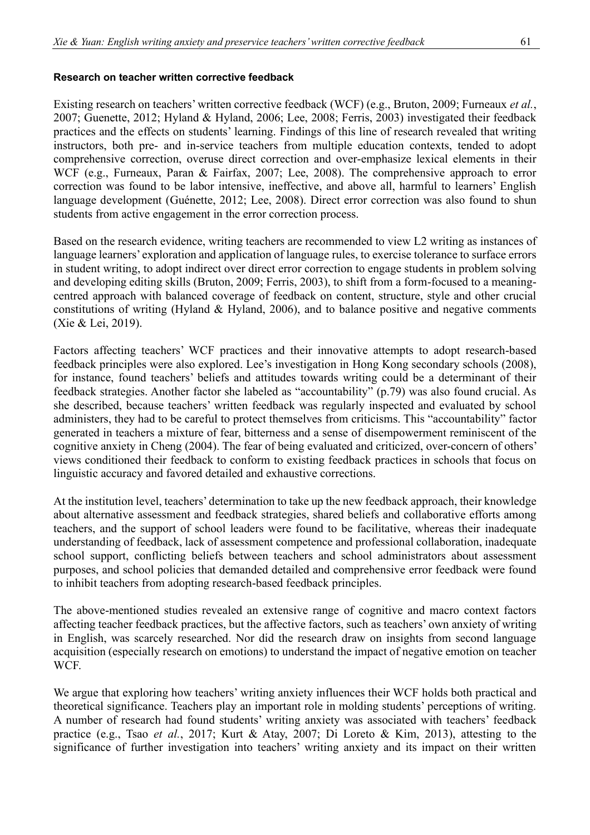#### **Research on teacher written corrective feedback**

Existing research on teachers' written corrective feedback (WCF) (e.g., Bruton, 2009; Furneaux *et al.*, 2007; Guenette, 2012; Hyland & Hyland, 2006; Lee, 2008; Ferris, 2003) investigated their feedback practices and the effects on students' learning. Findings of this line of research revealed that writing instructors, both pre- and in-service teachers from multiple education contexts, tended to adopt comprehensive correction, overuse direct correction and over-emphasize lexical elements in their WCF (e.g., Furneaux, Paran & Fairfax, 2007; Lee, 2008). The comprehensive approach to error correction was found to be labor intensive, ineffective, and above all, harmful to learners' English language development (Guénette, 2012; Lee, 2008). Direct error correction was also found to shun students from active engagement in the error correction process.

Based on the research evidence, writing teachers are recommended to view L2 writing as instances of language learners' exploration and application of language rules, to exercise tolerance to surface errors in student writing, to adopt indirect over direct error correction to engage students in problem solving and developing editing skills (Bruton, 2009; Ferris, 2003), to shift from a form-focused to a meaningcentred approach with balanced coverage of feedback on content, structure, style and other crucial constitutions of writing (Hyland & Hyland, 2006), and to balance positive and negative comments (Xie & Lei, 2019).

Factors affecting teachers' WCF practices and their innovative attempts to adopt research-based feedback principles were also explored. Lee's investigation in Hong Kong secondary schools (2008), for instance, found teachers' beliefs and attitudes towards writing could be a determinant of their feedback strategies. Another factor she labeled as "accountability" (p.79) was also found crucial. As she described, because teachers' written feedback was regularly inspected and evaluated by school administers, they had to be careful to protect themselves from criticisms. This "accountability" factor generated in teachers a mixture of fear, bitterness and a sense of disempowerment reminiscent of the cognitive anxiety in Cheng (2004). The fear of being evaluated and criticized, over-concern of others' views conditioned their feedback to conform to existing feedback practices in schools that focus on linguistic accuracy and favored detailed and exhaustive corrections.

At the institution level, teachers' determination to take up the new feedback approach, their knowledge about alternative assessment and feedback strategies, shared beliefs and collaborative efforts among teachers, and the support of school leaders were found to be facilitative, whereas their inadequate understanding of feedback, lack of assessment competence and professional collaboration, inadequate school support, conflicting beliefs between teachers and school administrators about assessment purposes, and school policies that demanded detailed and comprehensive error feedback were found to inhibit teachers from adopting research-based feedback principles.

The above-mentioned studies revealed an extensive range of cognitive and macro context factors affecting teacher feedback practices, but the affective factors, such as teachers' own anxiety of writing in English, was scarcely researched. Nor did the research draw on insights from second language acquisition (especially research on emotions) to understand the impact of negative emotion on teacher WCF.

We argue that exploring how teachers' writing anxiety influences their WCF holds both practical and theoretical significance. Teachers play an important role in molding students' perceptions of writing. A number of research had found students' writing anxiety was associated with teachers' feedback practice (e.g., Tsao *et al.*, 2017; Kurt & Atay, 2007; Di Loreto & Kim, 2013), attesting to the significance of further investigation into teachers' writing anxiety and its impact on their written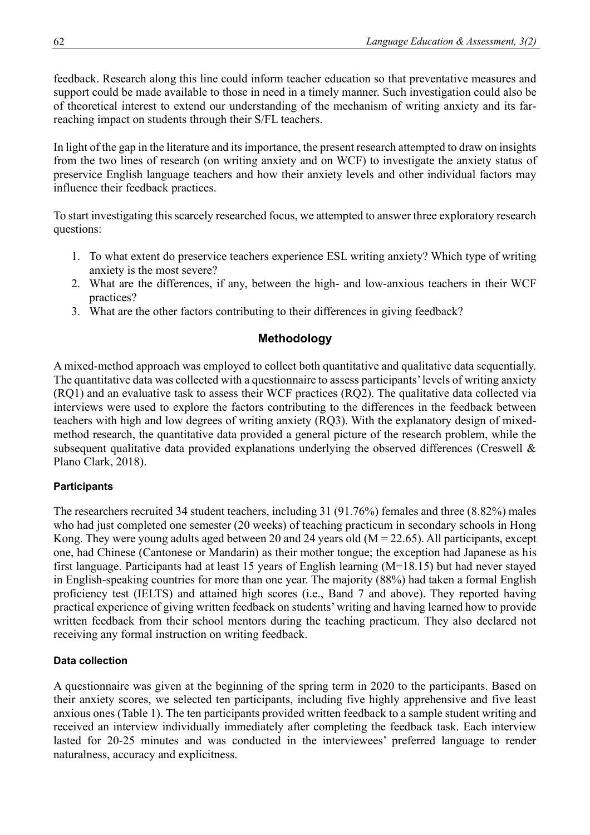feedback. Research along this line could inform teacher education so that preventative measures and support could be made available to those in need in a timely manner. Such investigation could also be of theoretical interest to extend our understanding of the mechanism of writing anxiety and its farreaching impact on students through their S/FL teachers.

In light of the gap in the literature and its importance, the present research attempted to draw on insights from the two lines of research (on writing anxiety and on WCF) to investigate the anxiety status of preservice English language teachers and how their anxiety levels and other individual factors may influence their feedback practices.

To start investigating this scarcely researched focus, we attempted to answer three exploratory research questions:

- 1. To what extent do preservice teachers experience ESL writing anxiety? Which type of writing anxiety is the most severe?
- 2. What are the differences, if any, between the high- and low-anxious teachers in their WCF practices?
- 3. What are the other factors contributing to their differences in giving feedback?

# **Methodology**

A mixed-method approach was employed to collect both quantitative and qualitative data sequentially. The quantitative data was collected with a questionnaire to assess participants' levels of writing anxiety (RQ1) and an evaluative task to assess their WCF practices (RQ2). The qualitative data collected via interviews were used to explore the factors contributing to the differences in the feedback between teachers with high and low degrees of writing anxiety (RQ3). With the explanatory design of mixedmethod research, the quantitative data provided a general picture of the research problem, while the subsequent qualitative data provided explanations underlying the observed differences (Creswell & Plano Clark, 2018).

# **Participants**

The researchers recruited 34 student teachers, including 31 (91.76%) females and three (8.82%) males who had just completed one semester (20 weeks) of teaching practicum in secondary schools in Hong Kong. They were young adults aged between 20 and 24 years old  $(M = 22.65)$ . All participants, except one, had Chinese (Cantonese or Mandarin) as their mother tongue; the exception had Japanese as his first language. Participants had at least 15 years of English learning (M=18.15) but had never stayed in English-speaking countries for more than one year. The majority (88%) had taken a formal English proficiency test (IELTS) and attained high scores (i.e., Band 7 and above). They reported having practical experience of giving written feedback on students' writing and having learned how to provide written feedback from their school mentors during the teaching practicum. They also declared not receiving any formal instruction on writing feedback.

# **Data collection**

A questionnaire was given at the beginning of the spring term in 2020 to the participants. Based on their anxiety scores, we selected ten participants, including five highly apprehensive and five least anxious ones (Table 1). The ten participants provided written feedback to a sample student writing and received an interview individually immediately after completing the feedback task. Each interview lasted for 20-25 minutes and was conducted in the interviewees' preferred language to render naturalness, accuracy and explicitness.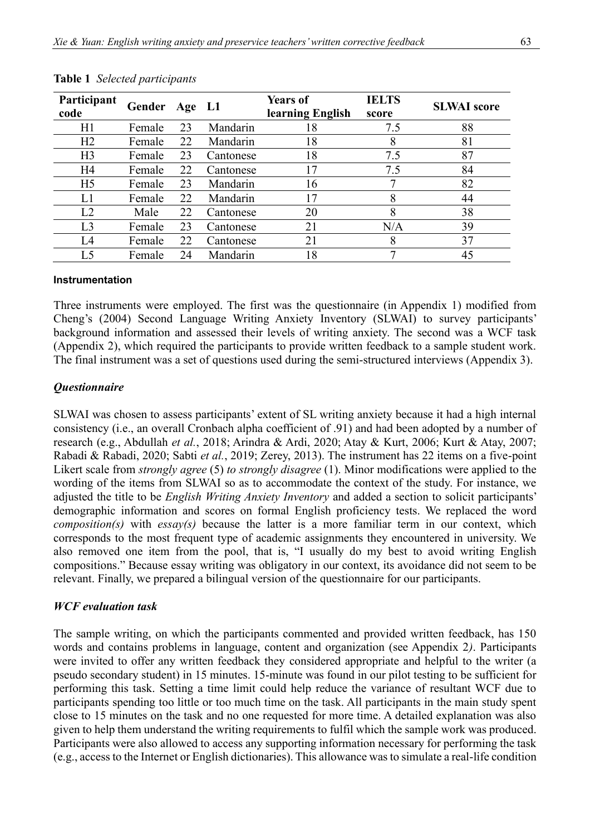| Participant<br>code | Gender Age L1 |    |           | <b>Years of</b><br>learning English | <b>IELTS</b><br>score | <b>SLWAI</b> score |
|---------------------|---------------|----|-----------|-------------------------------------|-----------------------|--------------------|
| H1                  | Female        | 23 | Mandarin  | 18                                  | 7.5                   | 88                 |
| H2                  | Female        | 22 | Mandarin  | 18                                  | 8                     | 81                 |
| H <sub>3</sub>      | Female        | 23 | Cantonese | 18                                  | 7.5                   | 87                 |
| H <sub>4</sub>      | Female        | 22 | Cantonese | 17                                  | 7.5                   | 84                 |
| H <sub>5</sub>      | Female        | 23 | Mandarin  | 16                                  |                       | 82                 |
| L1                  | Female        | 22 | Mandarin  | 17                                  | 8                     | 44                 |
| L2                  | Male          | 22 | Cantonese | 20                                  | 8                     | 38                 |
| L <sub>3</sub>      | Female        | 23 | Cantonese | 21                                  | N/A                   | 39                 |
| L4                  | Female        | 22 | Cantonese | 21                                  | 8                     | 37                 |
| L5                  | Female        | 24 | Mandarin  | 18                                  |                       | 45                 |

#### **Table 1** *Selected participants*

#### **Instrumentation**

Three instruments were employed. The first was the questionnaire (in Appendix 1) modified from Cheng's (2004) Second Language Writing Anxiety Inventory (SLWAI) to survey participants' background information and assessed their levels of writing anxiety. The second was a WCF task (Appendix 2), which required the participants to provide written feedback to a sample student work. The final instrument was a set of questions used during the semi-structured interviews (Appendix 3).

## *Questionnaire*

SLWAI was chosen to assess participants' extent of SL writing anxiety because it had a high internal consistency (i.e., an overall Cronbach alpha coefficient of .91) and had been adopted by a number of research (e.g., Abdullah *et al.*, 2018; Arindra & Ardi, 2020; Atay & Kurt, 2006; Kurt & Atay, 2007; Rabadi & Rabadi, 2020; Sabti *et al.*, 2019; Zerey, 2013). The instrument has 22 items on a five-point Likert scale from *strongly agree* (5) *to strongly disagree* (1). Minor modifications were applied to the wording of the items from SLWAI so as to accommodate the context of the study. For instance, we adjusted the title to be *English Writing Anxiety Inventory* and added a section to solicit participants' demographic information and scores on formal English proficiency tests. We replaced the word *composition(s)* with *essay(s)* because the latter is a more familiar term in our context, which corresponds to the most frequent type of academic assignments they encountered in university. We also removed one item from the pool, that is, "I usually do my best to avoid writing English compositions." Because essay writing was obligatory in our context, its avoidance did not seem to be relevant. Finally, we prepared a bilingual version of the questionnaire for our participants.

#### *WCF evaluation task*

The sample writing, on which the participants commented and provided written feedback, has 150 words and contains problems in language, content and organization (see Appendix 2*)*. Participants were invited to offer any written feedback they considered appropriate and helpful to the writer (a pseudo secondary student) in 15 minutes. 15-minute was found in our pilot testing to be sufficient for performing this task. Setting a time limit could help reduce the variance of resultant WCF due to participants spending too little or too much time on the task. All participants in the main study spent close to 15 minutes on the task and no one requested for more time. A detailed explanation was also given to help them understand the writing requirements to fulfil which the sample work was produced. Participants were also allowed to access any supporting information necessary for performing the task (e.g., access to the Internet or English dictionaries). This allowance was to simulate a real-life condition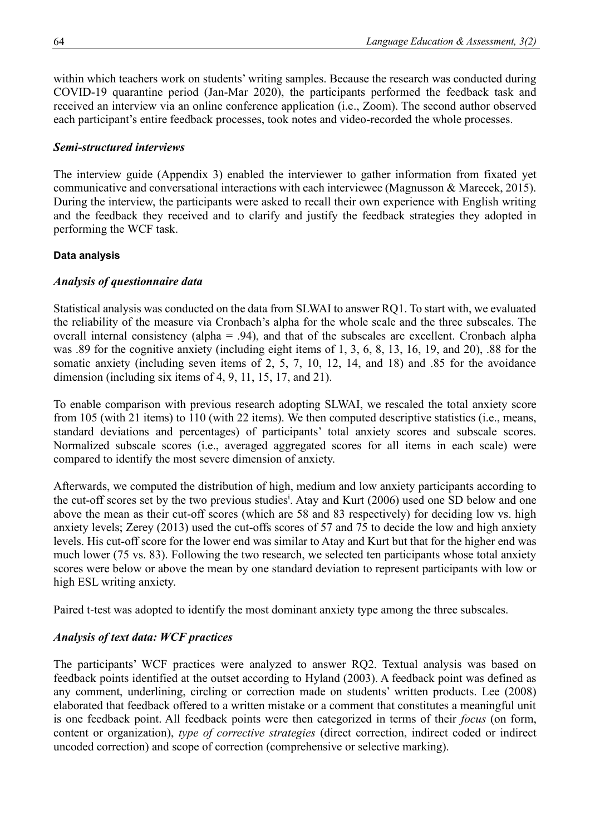within which teachers work on students' writing samples. Because the research was conducted during COVID-19 quarantine period (Jan-Mar 2020), the participants performed the feedback task and received an interview via an online conference application (i.e., Zoom). The second author observed each participant's entire feedback processes, took notes and video-recorded the whole processes.

## *Semi-structured interviews*

The interview guide (Appendix 3) enabled the interviewer to gather information from fixated yet communicative and conversational interactions with each interviewee (Magnusson & Marecek, 2015). During the interview, the participants were asked to recall their own experience with English writing and the feedback they received and to clarify and justify the feedback strategies they adopted in performing the WCF task.

## **Data analysis**

## *Analysis of questionnaire data*

Statistical analysis was conducted on the data from SLWAI to answer RQ1. To start with, we evaluated the reliability of the measure via Cronbach's alpha for the whole scale and the three subscales. The overall internal consistency (alpha = .94), and that of the subscales are excellent. Cronbach alpha was .89 for the cognitive anxiety (including eight items of 1, 3, 6, 8, 13, 16, 19, and 20), .88 for the somatic anxiety (including seven items of 2, 5, 7, 10, 12, 14, and 18) and .85 for the avoidance dimension (including six items of 4, 9, 11, 15, 17, and 21).

To enable comparison with previous research adopting SLWAI, we rescaled the total anxiety score from 105 (with 21 items) to 110 (with 22 items). We then computed descriptive statistics (i.e., means, standard deviations and percentages) of participants' total anxiety scores and subscale scores. Normalized subscale scores (i.e., averaged aggregated scores for all items in each scale) were compared to identify the most severe dimension of anxiety.

Afterwards, we computed the distribution of high, medium and low anxiety participants according to the cut-off scores set by the two previous studies<sup>1</sup>. Atay and Kurt (2006) used one SD below and one above the mean as their cut-off scores (which are 58 and 83 respectively) for deciding low vs. high anxiety levels; Zerey (2013) used the cut-offs scores of 57 and 75 to decide the low and high anxiety levels. His cut-off score for the lower end was similar to Atay and Kurt but that for the higher end was much lower (75 vs. 83). Following the two research, we selected ten participants whose total anxiety scores were below or above the mean by one standard deviation to represent participants with low or high ESL writing anxiety.

Paired t-test was adopted to identify the most dominant anxiety type among the three subscales.

## *Analysis of text data: WCF practices*

The participants' WCF practices were analyzed to answer RQ2. Textual analysis was based on feedback points identified at the outset according to Hyland (2003). A feedback point was defined as any comment, underlining, circling or correction made on students' written products. Lee (2008) elaborated that feedback offered to a written mistake or a comment that constitutes a meaningful unit is one feedback point. All feedback points were then categorized in terms of their *focus* (on form, content or organization), *type of corrective strategies* (direct correction, indirect coded or indirect uncoded correction) and scope of correction (comprehensive or selective marking).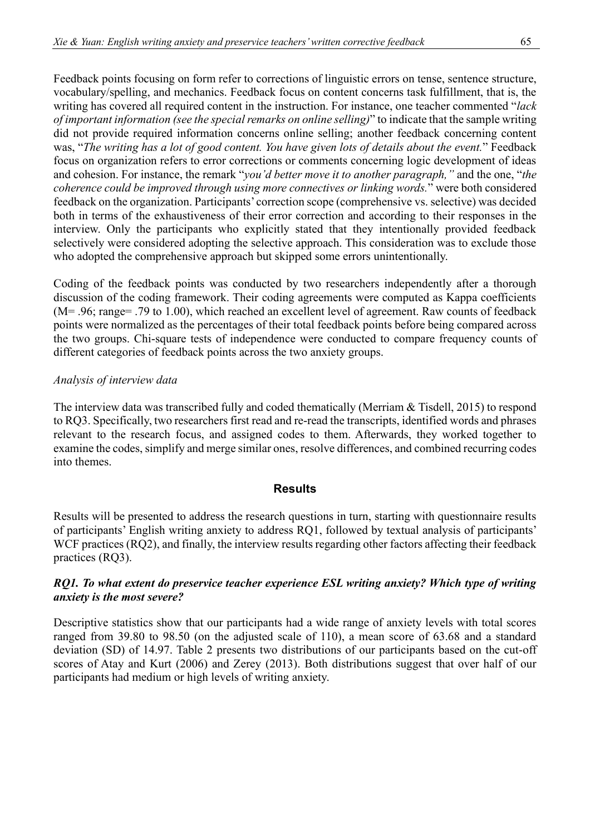Feedback points focusing on form refer to corrections of linguistic errors on tense, sentence structure, vocabulary/spelling, and mechanics. Feedback focus on content concerns task fulfillment, that is, the writing has covered all required content in the instruction. For instance, one teacher commented "*lack of important information (see the special remarks on online selling)*" to indicate that the sample writing did not provide required information concerns online selling; another feedback concerning content was, "*The writing has a lot of good content. You have given lots of details about the event.*" Feedback focus on organization refers to error corrections or comments concerning logic development of ideas and cohesion. For instance, the remark "*you'd better move it to another paragraph,"* and the one, "*the coherence could be improved through using more connectives or linking words.*" were both considered feedback on the organization. Participants' correction scope (comprehensive vs. selective) was decided both in terms of the exhaustiveness of their error correction and according to their responses in the interview. Only the participants who explicitly stated that they intentionally provided feedback selectively were considered adopting the selective approach. This consideration was to exclude those who adopted the comprehensive approach but skipped some errors unintentionally.

Coding of the feedback points was conducted by two researchers independently after a thorough discussion of the coding framework. Their coding agreements were computed as Kappa coefficients (M= .96; range= .79 to 1.00), which reached an excellent level of agreement. Raw counts of feedback points were normalized as the percentages of their total feedback points before being compared across the two groups. Chi-square tests of independence were conducted to compare frequency counts of different categories of feedback points across the two anxiety groups.

## *Analysis of interview data*

The interview data was transcribed fully and coded thematically (Merriam & Tisdell, 2015) to respond to RQ3. Specifically, two researchers first read and re-read the transcripts, identified words and phrases relevant to the research focus, and assigned codes to them. Afterwards, they worked together to examine the codes, simplify and merge similar ones, resolve differences, and combined recurring codes into themes.

#### **Results**

Results will be presented to address the research questions in turn, starting with questionnaire results of participants' English writing anxiety to address RQ1, followed by textual analysis of participants' WCF practices (RQ2), and finally, the interview results regarding other factors affecting their feedback practices (RQ3).

## *RQ1. To what extent do preservice teacher experience ESL writing anxiety? Which type of writing anxiety is the most severe?*

Descriptive statistics show that our participants had a wide range of anxiety levels with total scores ranged from 39.80 to 98.50 (on the adjusted scale of 110), a mean score of 63.68 and a standard deviation (SD) of 14.97. Table 2 presents two distributions of our participants based on the cut-off scores of Atay and Kurt (2006) and Zerey (2013). Both distributions suggest that over half of our participants had medium or high levels of writing anxiety.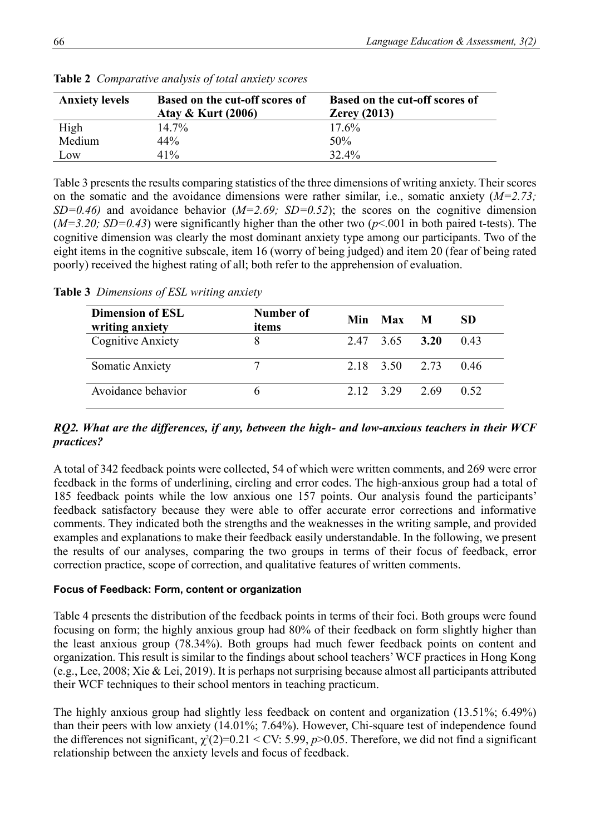| <b>Anxiety levels</b> | <b>Based on the cut-off scores of</b><br><b>Atay &amp; Kurt (2006)</b> | <b>Based on the cut-off scores of</b><br>Zerey $(2013)$ |
|-----------------------|------------------------------------------------------------------------|---------------------------------------------------------|
| High                  | $14.7\%$                                                               | $17.6\%$                                                |
| Medium                | 44%                                                                    | 50%                                                     |
| Low                   | 41%                                                                    | 32.4%                                                   |

**Table 2** *Comparative analysis of total anxiety scores* 

Table 3 presents the results comparing statistics of the three dimensions of writing anxiety. Their scores on the somatic and the avoidance dimensions were rather similar, i.e., somatic anxiety (*M=2.73; SD=0.46*) and avoidance behavior  $(M=2.69; SD=0.52)$ ; the scores on the cognitive dimension  $(M=3.20; SD=0.43)$  were significantly higher than the other two ( $p<001$  in both paired t-tests). The cognitive dimension was clearly the most dominant anxiety type among our participants. Two of the eight items in the cognitive subscale, item 16 (worry of being judged) and item 20 (fear of being rated poorly) received the highest rating of all; both refer to the apprehension of evaluation.

**Table 3** *Dimensions of ESL writing anxiety*

| <b>Dimension of ESL</b><br>writing anxiety | Number of<br>items | Min Max M      | SD.  |
|--------------------------------------------|--------------------|----------------|------|
| Cognitive Anxiety                          | 8                  | 2.47 3.65 3.20 | 0.43 |
| <b>Somatic Anxiety</b>                     |                    | 2.18 3.50 2.73 | 0.46 |
| Avoidance behavior                         |                    | 2.12 3.29 2.69 | 0.52 |

## *RQ2. What are the differences, if any, between the high- and low-anxious teachers in their WCF practices?*

A total of 342 feedback points were collected, 54 of which were written comments, and 269 were error feedback in the forms of underlining, circling and error codes. The high-anxious group had a total of 185 feedback points while the low anxious one 157 points. Our analysis found the participants' feedback satisfactory because they were able to offer accurate error corrections and informative comments. They indicated both the strengths and the weaknesses in the writing sample, and provided examples and explanations to make their feedback easily understandable. In the following, we present the results of our analyses, comparing the two groups in terms of their focus of feedback, error correction practice, scope of correction, and qualitative features of written comments.

#### **Focus of Feedback: Form, content or organization**

Table 4 presents the distribution of the feedback points in terms of their foci. Both groups were found focusing on form; the highly anxious group had 80% of their feedback on form slightly higher than the least anxious group (78.34%). Both groups had much fewer feedback points on content and organization. This result is similar to the findings about school teachers' WCF practices in Hong Kong (e.g., Lee, 2008; Xie & Lei, 2019). It is perhaps not surprising because almost all participants attributed their WCF techniques to their school mentors in teaching practicum.

The highly anxious group had slightly less feedback on content and organization (13.51%; 6.49%) than their peers with low anxiety (14.01%; 7.64%). However, Chi-square test of independence found the differences not significant,  $\chi^2(2)=0.21 \leq CV: 5.99$ ,  $p>0.05$ . Therefore, we did not find a significant relationship between the anxiety levels and focus of feedback.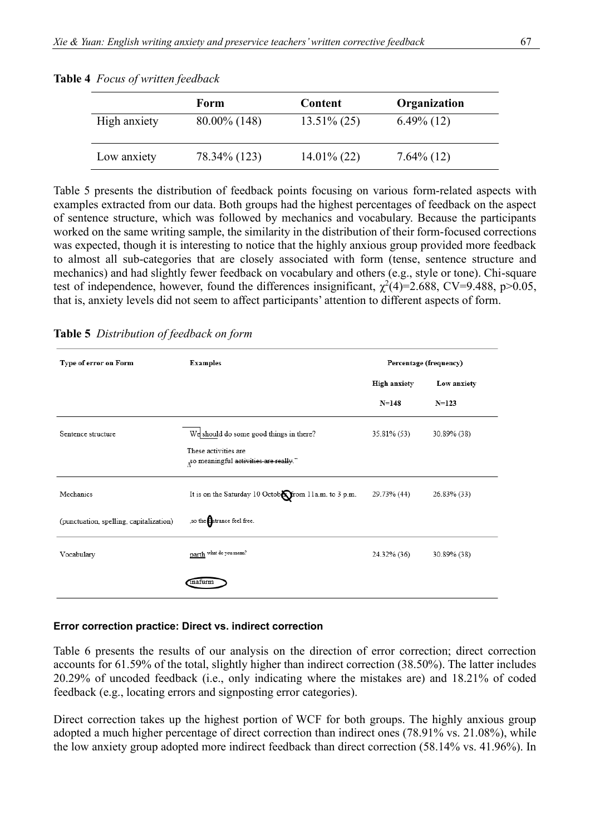|              | Form            | Content        | Organization  |
|--------------|-----------------|----------------|---------------|
| High anxiety | $80.00\%$ (148) | $13.51\% (25)$ | $6.49\%$ (12) |
| Low anxiety  | 78.34\% (123)   | $14.01\%$ (22) | $7.64\%$ (12) |

**Table 4** *Focus of written feedback*

Table 5 presents the distribution of feedback points focusing on various form-related aspects with examples extracted from our data. Both groups had the highest percentages of feedback on the aspect of sentence structure, which was followed by mechanics and vocabulary. Because the participants worked on the same writing sample, the similarity in the distribution of their form-focused corrections was expected, though it is interesting to notice that the highly anxious group provided more feedback to almost all sub-categories that are closely associated with form (tense, sentence structure and mechanics) and had slightly fewer feedback on vocabulary and others (e.g., style or tone). Chi-square test of independence, however, found the differences insignificant,  $\chi^2(4)=2.688$ , CV=9.488, p>0.05, that is, anxiety levels did not seem to affect participants' attention to different aspects of form.

**Table 5** *Distribution of feedback on form*

| Type of error on Form                   | <b>Examples</b>                                                   |                     | Percentage (frequency) |  |
|-----------------------------------------|-------------------------------------------------------------------|---------------------|------------------------|--|
|                                         |                                                                   | <b>High anxiety</b> | Low anxiety            |  |
|                                         |                                                                   | N=148               | $N=123$                |  |
| Sentence structure                      | We should do some good things in there?                           | 35.81% (53)         | 30.89% (38)            |  |
|                                         | These activities are<br>so meaningful activities are really."     |                     |                        |  |
| Mechanics                               | It is on the Saturday 10 Octobe from 11a.m. to 3 p.m. 29.73% (44) |                     | 26.83% (33)            |  |
| (punctuation, spelling, capitalization) | , so the <b>Entrance</b> feel free.                               |                     |                        |  |
| Vocabulary                              | parth what do you mean?                                           | 24.32% (36)         | 30.89% (38)            |  |
|                                         | inaturm                                                           |                     |                        |  |

#### **Error correction practice: Direct vs. indirect correction**

Table 6 presents the results of our analysis on the direction of error correction; direct correction accounts for 61.59% of the total, slightly higher than indirect correction (38.50%). The latter includes 20.29% of uncoded feedback (i.e., only indicating where the mistakes are) and 18.21% of coded feedback (e.g., locating errors and signposting error categories).

Direct correction takes up the highest portion of WCF for both groups. The highly anxious group adopted a much higher percentage of direct correction than indirect ones (78.91% vs. 21.08%), while the low anxiety group adopted more indirect feedback than direct correction (58.14% vs. 41.96%). In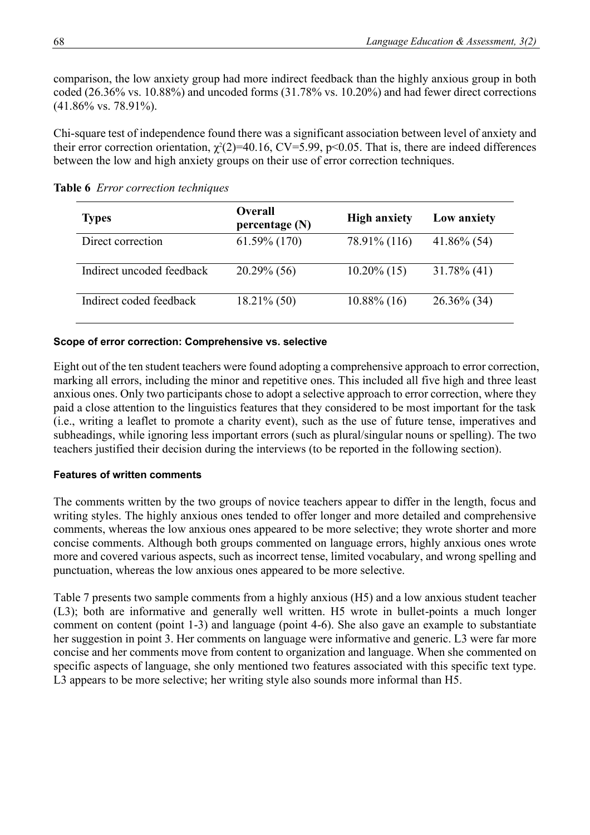comparison, the low anxiety group had more indirect feedback than the highly anxious group in both coded (26.36% vs. 10.88%) and uncoded forms (31.78% vs. 10.20%) and had fewer direct corrections (41.86% vs. 78.91%).

Chi-square test of independence found there was a significant association between level of anxiety and their error correction orientation,  $\chi^2(2)=10.16$ , CV=5.99, p<0.05. That is, there are indeed differences between the low and high anxiety groups on their use of error correction techniques.

| <b>Types</b>              | <b>Overall</b><br>percentage $(N)$ | <b>High anxiety</b> | Low anxiety    |
|---------------------------|------------------------------------|---------------------|----------------|
| Direct correction         | $61.59\%$ (170)                    | 78.91% (116)        | $41.86\%$ (54) |
| Indirect uncoded feedback | $20.29\%$ (56)                     | $10.20\%$ (15)      | $31.78\%$ (41) |
| Indirect coded feedback   | $18.21\%$ (50)                     | $10.88\%$ (16)      | $26.36\%$ (34) |

**Table 6** *Error correction techniques*

## **Scope of error correction: Comprehensive vs. selective**

Eight out of the ten student teachers were found adopting a comprehensive approach to error correction, marking all errors, including the minor and repetitive ones. This included all five high and three least anxious ones. Only two participants chose to adopt a selective approach to error correction, where they paid a close attention to the linguistics features that they considered to be most important for the task (i.e., writing a leaflet to promote a charity event), such as the use of future tense, imperatives and subheadings, while ignoring less important errors (such as plural/singular nouns or spelling). The two teachers justified their decision during the interviews (to be reported in the following section).

#### **Features of written comments**

The comments written by the two groups of novice teachers appear to differ in the length, focus and writing styles. The highly anxious ones tended to offer longer and more detailed and comprehensive comments, whereas the low anxious ones appeared to be more selective; they wrote shorter and more concise comments. Although both groups commented on language errors, highly anxious ones wrote more and covered various aspects, such as incorrect tense, limited vocabulary, and wrong spelling and punctuation, whereas the low anxious ones appeared to be more selective.

Table 7 presents two sample comments from a highly anxious (H5) and a low anxious student teacher (L3); both are informative and generally well written. H5 wrote in bullet-points a much longer comment on content (point 1-3) and language (point 4-6). She also gave an example to substantiate her suggestion in point 3. Her comments on language were informative and generic. L3 were far more concise and her comments move from content to organization and language. When she commented on specific aspects of language, she only mentioned two features associated with this specific text type. L3 appears to be more selective; her writing style also sounds more informal than H5.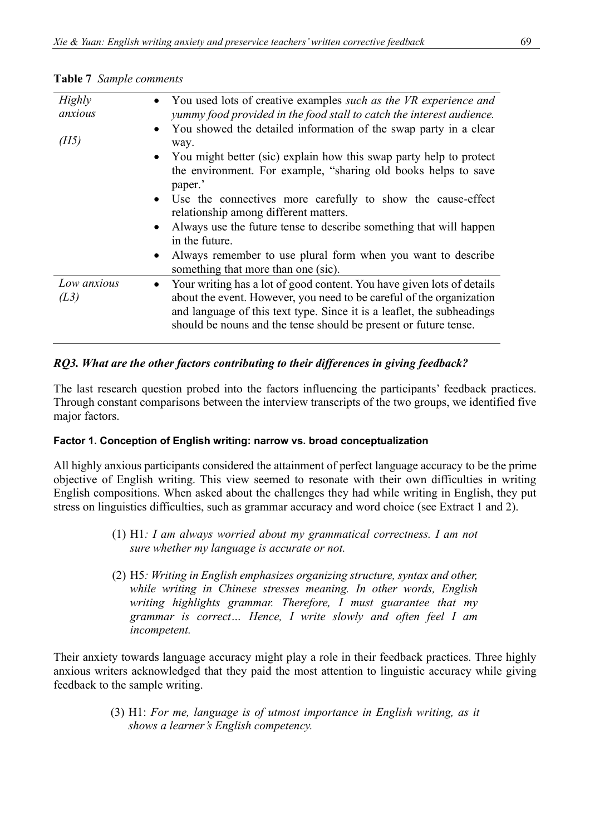| <b>Highly</b><br>anxious | You used lots of creative examples such as the VR experience and<br>yummy food provided in the food stall to catch the interest audience.                                                                                                                                                    |
|--------------------------|----------------------------------------------------------------------------------------------------------------------------------------------------------------------------------------------------------------------------------------------------------------------------------------------|
| (H5)                     | You showed the detailed information of the swap party in a clear<br>$\bullet$<br>way.                                                                                                                                                                                                        |
|                          | • You might better (sic) explain how this swap party help to protect<br>the environment. For example, "sharing old books helps to save<br>paper.'                                                                                                                                            |
|                          | • Use the connectives more carefully to show the cause-effect<br>relationship among different matters.                                                                                                                                                                                       |
|                          | • Always use the future tense to describe something that will happen<br>in the future.                                                                                                                                                                                                       |
|                          | Always remember to use plural form when you want to describe<br>$\bullet$<br>something that more than one (sic).                                                                                                                                                                             |
| Low anxious<br>(L3)      | Your writing has a lot of good content. You have given lots of details<br>about the event. However, you need to be careful of the organization<br>and language of this text type. Since it is a leaflet, the subheadings<br>should be nouns and the tense should be present or future tense. |

**Table 7** *Sample comments* 

# *RQ3. What are the other factors contributing to their differences in giving feedback?*

The last research question probed into the factors influencing the participants' feedback practices. Through constant comparisons between the interview transcripts of the two groups, we identified five major factors.

## **Factor 1. Conception of English writing: narrow vs. broad conceptualization**

All highly anxious participants considered the attainment of perfect language accuracy to be the prime objective of English writing. This view seemed to resonate with their own difficulties in writing English compositions. When asked about the challenges they had while writing in English, they put stress on linguistics difficulties, such as grammar accuracy and word choice (see Extract 1 and 2).

- (1) H1*: I am always worried about my grammatical correctness. I am not sure whether my language is accurate or not.*
- (2) H5*: Writing in English emphasizes organizing structure, syntax and other, while writing in Chinese stresses meaning. In other words, English writing highlights grammar. Therefore, I must guarantee that my grammar is correct… Hence, I write slowly and often feel I am incompetent.*

Their anxiety towards language accuracy might play a role in their feedback practices. Three highly anxious writers acknowledged that they paid the most attention to linguistic accuracy while giving feedback to the sample writing.

> (3) H1: *For me, language is of utmost importance in English writing, as it shows a learner's English competency.*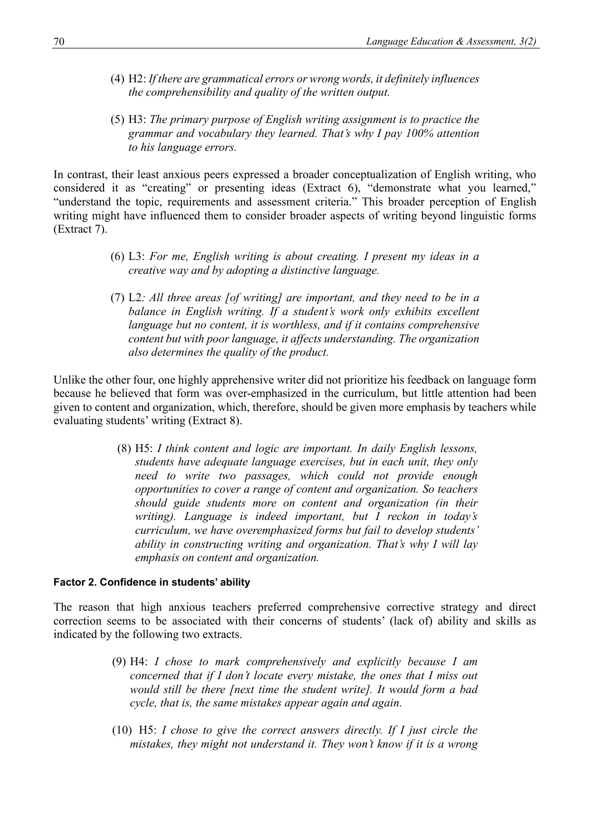- (4) H2: *If there are grammatical errors or wrong words, it definitely influences the comprehensibility and quality of the written output.*
- (5) H3: *The primary purpose of English writing assignment is to practice the grammar and vocabulary they learned. That's why I pay 100% attention to his language errors.*

In contrast, their least anxious peers expressed a broader conceptualization of English writing, who considered it as "creating" or presenting ideas (Extract 6), "demonstrate what you learned," "understand the topic, requirements and assessment criteria." This broader perception of English writing might have influenced them to consider broader aspects of writing beyond linguistic forms (Extract 7).

- (6) L3: *For me, English writing is about creating. I present my ideas in a creative way and by adopting a distinctive language.*
- (7) L2*: All three areas [of writing] are important, and they need to be in a*  balance in English writing. If a student's work only exhibits excellent *language but no content, it is worthless, and if it contains comprehensive content but with poor language, it affects understanding. The organization also determines the quality of the product.*

Unlike the other four, one highly apprehensive writer did not prioritize his feedback on language form because he believed that form was over-emphasized in the curriculum, but little attention had been given to content and organization, which, therefore, should be given more emphasis by teachers while evaluating students' writing (Extract 8).

> (8) H5: *I think content and logic are important. In daily English lessons, students have adequate language exercises, but in each unit, they only need to write two passages, which could not provide enough opportunities to cover a range of content and organization. So teachers should guide students more on content and organization (in their writing). Language is indeed important, but I reckon in today's curriculum, we have overemphasized forms but fail to develop students' ability in constructing writing and organization. That's why I will lay emphasis on content and organization.*

#### **Factor 2. Confidence in students' ability**

The reason that high anxious teachers preferred comprehensive corrective strategy and direct correction seems to be associated with their concerns of students' (lack of) ability and skills as indicated by the following two extracts.

- (9) H4: *I chose to mark comprehensively and explicitly because I am concerned that if I don't locate every mistake, the ones that I miss out would still be there [next time the student write]. It would form a bad cycle, that is, the same mistakes appear again and again.*
- (10) H5: *I chose to give the correct answers directly. If I just circle the mistakes, they might not understand it. They won't know if it is a wrong*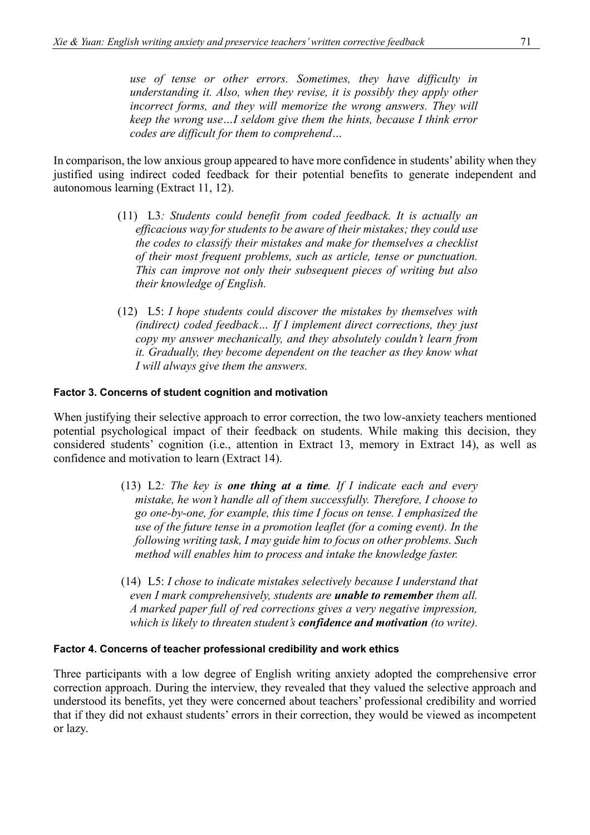*use of tense or other errors. Sometimes, they have difficulty in understanding it. Also, when they revise, it is possibly they apply other incorrect forms, and they will memorize the wrong answers. They will keep the wrong use…I seldom give them the hints, because I think error codes are difficult for them to comprehend…*

In comparison, the low anxious group appeared to have more confidence in students' ability when they justified using indirect coded feedback for their potential benefits to generate independent and autonomous learning (Extract 11, 12).

- (11) L3*: Students could benefit from coded feedback. It is actually an efficacious way for students to be aware of their mistakes; they could use the codes to classify their mistakes and make for themselves a checklist of their most frequent problems, such as article, tense or punctuation. This can improve not only their subsequent pieces of writing but also their knowledge of English.*
- (12) L5: *I hope students could discover the mistakes by themselves with (indirect) coded feedback… If I implement direct corrections, they just copy my answer mechanically, and they absolutely couldn't learn from it. Gradually, they become dependent on the teacher as they know what I will always give them the answers.*

#### **Factor 3. Concerns of student cognition and motivation**

When justifying their selective approach to error correction, the two low-anxiety teachers mentioned potential psychological impact of their feedback on students. While making this decision, they considered students' cognition (i.e., attention in Extract 13, memory in Extract 14), as well as confidence and motivation to learn (Extract 14).

- (13) L2*: The key is one thing at a time. If I indicate each and every mistake, he won't handle all of them successfully. Therefore, I choose to go one-by-one, for example, this time I focus on tense. I emphasized the use of the future tense in a promotion leaflet (for a coming event). In the following writing task, I may guide him to focus on other problems. Such method will enables him to process and intake the knowledge faster.*
- (14) L5: *I chose to indicate mistakes selectively because I understand that even I mark comprehensively, students are unable to remember them all. A marked paper full of red corrections gives a very negative impression, which is likely to threaten student's confidence and motivation (to write).*

#### **Factor 4. Concerns of teacher professional credibility and work ethics**

Three participants with a low degree of English writing anxiety adopted the comprehensive error correction approach. During the interview, they revealed that they valued the selective approach and understood its benefits, yet they were concerned about teachers' professional credibility and worried that if they did not exhaust students' errors in their correction, they would be viewed as incompetent or lazy.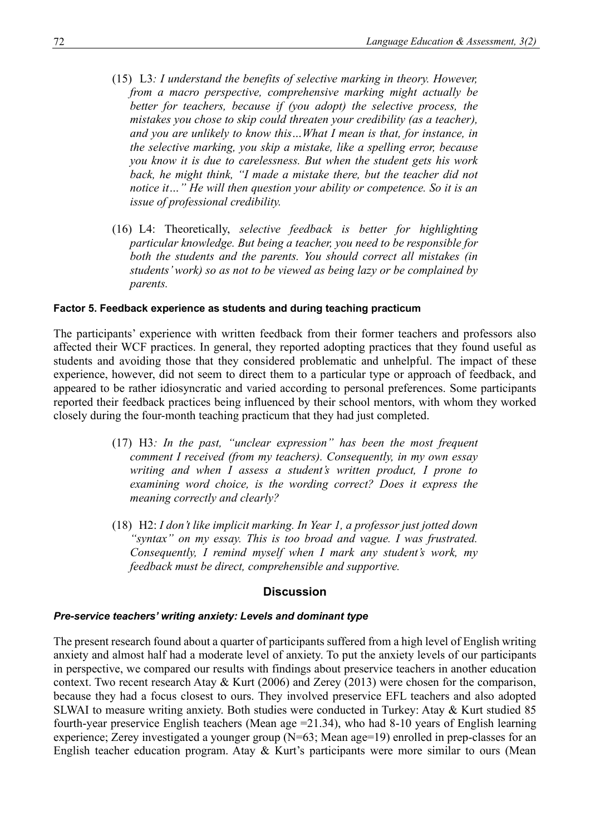- (15) L3*: I understand the benefits of selective marking in theory. However, from a macro perspective, comprehensive marking might actually be better for teachers, because if (you adopt) the selective process, the mistakes you chose to skip could threaten your credibility (as a teacher), and you are unlikely to know this…What I mean is that, for instance, in the selective marking, you skip a mistake, like a spelling error, because you know it is due to carelessness. But when the student gets his work back, he might think, "I made a mistake there, but the teacher did not notice it…" He will then question your ability or competence. So it is an issue of professional credibility.*
- (16) L4: Theoretically, *selective feedback is better for highlighting particular knowledge. But being a teacher, you need to be responsible for both the students and the parents. You should correct all mistakes (in students' work) so as not to be viewed as being lazy or be complained by parents.*

#### **Factor 5. Feedback experience as students and during teaching practicum**

The participants' experience with written feedback from their former teachers and professors also affected their WCF practices. In general, they reported adopting practices that they found useful as students and avoiding those that they considered problematic and unhelpful. The impact of these experience, however, did not seem to direct them to a particular type or approach of feedback, and appeared to be rather idiosyncratic and varied according to personal preferences. Some participants reported their feedback practices being influenced by their school mentors, with whom they worked closely during the four-month teaching practicum that they had just completed.

- (17) H3*: In the past, "unclear expression" has been the most frequent comment I received (from my teachers). Consequently, in my own essay writing and when I assess a student's written product, I prone to examining word choice, is the wording correct? Does it express the meaning correctly and clearly?*
- (18) H2: *I don't like implicit marking. In Year 1, a professor just jotted down "syntax" on my essay. This is too broad and vague. I was frustrated. Consequently, I remind myself when I mark any student's work, my feedback must be direct, comprehensible and supportive.*

#### **Discussion**

#### *Pre-service teachers' writing anxiety: Levels and dominant type*

The present research found about a quarter of participants suffered from a high level of English writing anxiety and almost half had a moderate level of anxiety. To put the anxiety levels of our participants in perspective, we compared our results with findings about preservice teachers in another education context. Two recent research Atay & Kurt (2006) and Zerey (2013) were chosen for the comparison, because they had a focus closest to ours. They involved preservice EFL teachers and also adopted SLWAI to measure writing anxiety. Both studies were conducted in Turkey: Atay & Kurt studied 85 fourth-year preservice English teachers (Mean age =21.34), who had 8-10 years of English learning experience; Zerey investigated a younger group (N=63; Mean age=19) enrolled in prep-classes for an English teacher education program. Atay & Kurt's participants were more similar to ours (Mean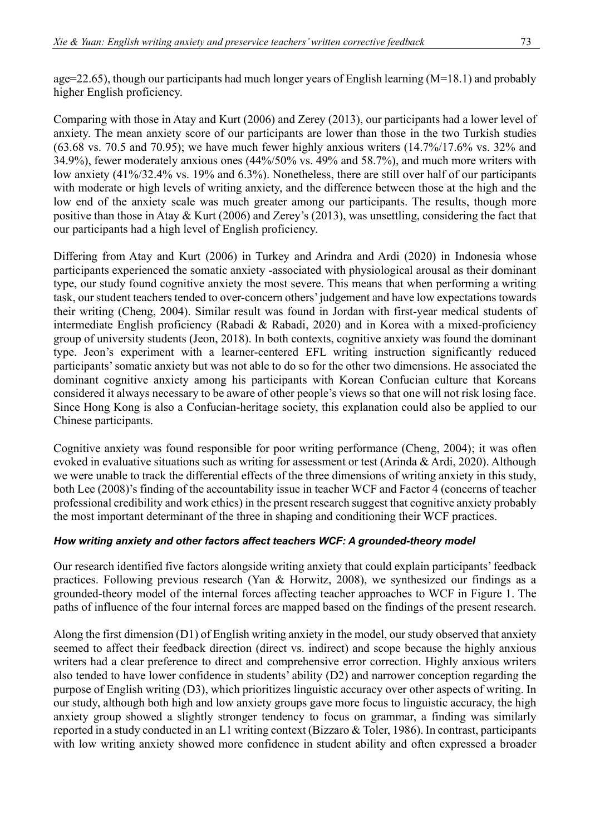age=22.65), though our participants had much longer years of English learning (M=18.1) and probably higher English proficiency.

Comparing with those in Atay and Kurt (2006) and Zerey (2013), our participants had a lower level of anxiety. The mean anxiety score of our participants are lower than those in the two Turkish studies (63.68 vs. 70.5 and 70.95); we have much fewer highly anxious writers (14.7%/17.6% vs. 32% and 34.9%), fewer moderately anxious ones (44%/50% vs. 49% and 58.7%), and much more writers with low anxiety (41%/32.4% vs. 19% and 6.3%). Nonetheless, there are still over half of our participants with moderate or high levels of writing anxiety, and the difference between those at the high and the low end of the anxiety scale was much greater among our participants. The results, though more positive than those in Atay & Kurt (2006) and Zerey's (2013), was unsettling, considering the fact that our participants had a high level of English proficiency.

Differing from Atay and Kurt (2006) in Turkey and Arindra and Ardi (2020) in Indonesia whose participants experienced the somatic anxiety -associated with physiological arousal as their dominant type, our study found cognitive anxiety the most severe. This means that when performing a writing task, our student teachers tended to over-concern others' judgement and have low expectations towards their writing (Cheng, 2004). Similar result was found in Jordan with first-year medical students of intermediate English proficiency (Rabadi & Rabadi, 2020) and in Korea with a mixed-proficiency group of university students (Jeon, 2018). In both contexts, cognitive anxiety was found the dominant type. Jeon's experiment with a learner-centered EFL writing instruction significantly reduced participants' somatic anxiety but was not able to do so for the other two dimensions. He associated the dominant cognitive anxiety among his participants with Korean Confucian culture that Koreans considered it always necessary to be aware of other people's views so that one will not risk losing face. Since Hong Kong is also a Confucian-heritage society, this explanation could also be applied to our Chinese participants.

Cognitive anxiety was found responsible for poor writing performance (Cheng, 2004); it was often evoked in evaluative situations such as writing for assessment or test (Arinda & Ardi, 2020). Although we were unable to track the differential effects of the three dimensions of writing anxiety in this study, both Lee (2008)'s finding of the accountability issue in teacher WCF and Factor 4 (concerns of teacher professional credibility and work ethics) in the present research suggest that cognitive anxiety probably the most important determinant of the three in shaping and conditioning their WCF practices.

## *How writing anxiety and other factors affect teachers WCF: A grounded-theory model*

Our research identified five factors alongside writing anxiety that could explain participants' feedback practices. Following previous research (Yan & Horwitz, 2008), we synthesized our findings as a grounded-theory model of the internal forces affecting teacher approaches to WCF in Figure 1. The paths of influence of the four internal forces are mapped based on the findings of the present research.

Along the first dimension (D1) of English writing anxiety in the model, our study observed that anxiety seemed to affect their feedback direction (direct vs. indirect) and scope because the highly anxious writers had a clear preference to direct and comprehensive error correction. Highly anxious writers also tended to have lower confidence in students' ability (D2) and narrower conception regarding the purpose of English writing (D3), which prioritizes linguistic accuracy over other aspects of writing. In our study, although both high and low anxiety groups gave more focus to linguistic accuracy, the high anxiety group showed a slightly stronger tendency to focus on grammar, a finding was similarly reported in a study conducted in an L1 writing context (Bizzaro & Toler, 1986). In contrast, participants with low writing anxiety showed more confidence in student ability and often expressed a broader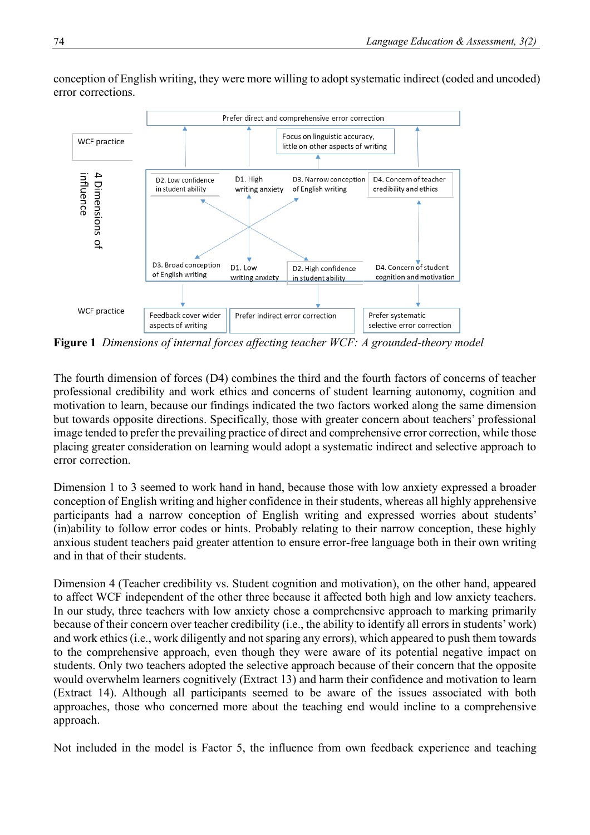

conception of English writing, they were more willing to adopt systematic indirect (coded and uncoded) error corrections.

**Figure 1** *Dimensions of internal forces affecting teacher WCF: A grounded-theory model*

The fourth dimension of forces (D4) combines the third and the fourth factors of concerns of teacher professional credibility and work ethics and concerns of student learning autonomy, cognition and motivation to learn, because our findings indicated the two factors worked along the same dimension but towards opposite directions. Specifically, those with greater concern about teachers' professional image tended to prefer the prevailing practice of direct and comprehensive error correction, while those placing greater consideration on learning would adopt a systematic indirect and selective approach to error correction.

Dimension 1 to 3 seemed to work hand in hand, because those with low anxiety expressed a broader conception of English writing and higher confidence in their students, whereas all highly apprehensive participants had a narrow conception of English writing and expressed worries about students' (in)ability to follow error codes or hints. Probably relating to their narrow conception, these highly anxious student teachers paid greater attention to ensure error-free language both in their own writing and in that of their students.

Dimension 4 (Teacher credibility vs. Student cognition and motivation), on the other hand, appeared to affect WCF independent of the other three because it affected both high and low anxiety teachers. In our study, three teachers with low anxiety chose a comprehensive approach to marking primarily because of their concern over teacher credibility (i.e., the ability to identify all errors in students' work) and work ethics (i.e., work diligently and not sparing any errors), which appeared to push them towards to the comprehensive approach, even though they were aware of its potential negative impact on students. Only two teachers adopted the selective approach because of their concern that the opposite would overwhelm learners cognitively (Extract 13) and harm their confidence and motivation to learn (Extract 14). Although all participants seemed to be aware of the issues associated with both approaches, those who concerned more about the teaching end would incline to a comprehensive approach.

Not included in the model is Factor 5, the influence from own feedback experience and teaching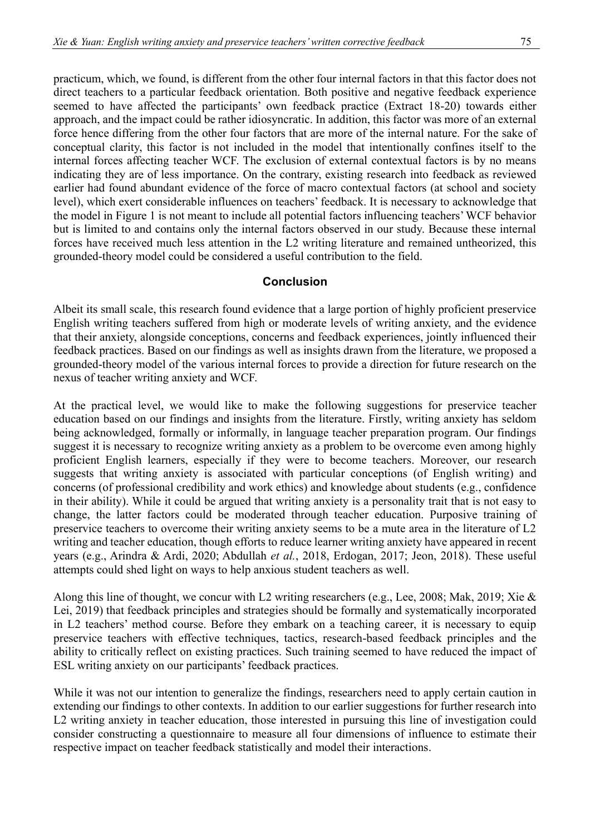practicum, which, we found, is different from the other four internal factors in that this factor does not direct teachers to a particular feedback orientation. Both positive and negative feedback experience seemed to have affected the participants' own feedback practice (Extract 18-20) towards either approach, and the impact could be rather idiosyncratic. In addition, this factor was more of an external force hence differing from the other four factors that are more of the internal nature. For the sake of conceptual clarity, this factor is not included in the model that intentionally confines itself to the internal forces affecting teacher WCF. The exclusion of external contextual factors is by no means indicating they are of less importance. On the contrary, existing research into feedback as reviewed earlier had found abundant evidence of the force of macro contextual factors (at school and society level), which exert considerable influences on teachers' feedback. It is necessary to acknowledge that the model in Figure 1 is not meant to include all potential factors influencing teachers' WCF behavior but is limited to and contains only the internal factors observed in our study. Because these internal forces have received much less attention in the L2 writing literature and remained untheorized, this grounded-theory model could be considered a useful contribution to the field.

## **Conclusion**

Albeit its small scale, this research found evidence that a large portion of highly proficient preservice English writing teachers suffered from high or moderate levels of writing anxiety, and the evidence that their anxiety, alongside conceptions, concerns and feedback experiences, jointly influenced their feedback practices. Based on our findings as well as insights drawn from the literature, we proposed a grounded-theory model of the various internal forces to provide a direction for future research on the nexus of teacher writing anxiety and WCF.

At the practical level, we would like to make the following suggestions for preservice teacher education based on our findings and insights from the literature. Firstly, writing anxiety has seldom being acknowledged, formally or informally, in language teacher preparation program. Our findings suggest it is necessary to recognize writing anxiety as a problem to be overcome even among highly proficient English learners, especially if they were to become teachers. Moreover, our research suggests that writing anxiety is associated with particular conceptions (of English writing) and concerns (of professional credibility and work ethics) and knowledge about students (e.g., confidence in their ability). While it could be argued that writing anxiety is a personality trait that is not easy to change, the latter factors could be moderated through teacher education. Purposive training of preservice teachers to overcome their writing anxiety seems to be a mute area in the literature of L2 writing and teacher education, though efforts to reduce learner writing anxiety have appeared in recent years (e.g., Arindra & Ardi, 2020; Abdullah *et al.*, 2018, Erdogan, 2017; Jeon, 2018). These useful attempts could shed light on ways to help anxious student teachers as well.

Along this line of thought, we concur with L2 writing researchers (e.g., Lee, 2008; Mak, 2019; Xie & Lei, 2019) that feedback principles and strategies should be formally and systematically incorporated in L2 teachers' method course. Before they embark on a teaching career, it is necessary to equip preservice teachers with effective techniques, tactics, research-based feedback principles and the ability to critically reflect on existing practices. Such training seemed to have reduced the impact of ESL writing anxiety on our participants' feedback practices.

While it was not our intention to generalize the findings, researchers need to apply certain caution in extending our findings to other contexts. In addition to our earlier suggestions for further research into L2 writing anxiety in teacher education, those interested in pursuing this line of investigation could consider constructing a questionnaire to measure all four dimensions of influence to estimate their respective impact on teacher feedback statistically and model their interactions.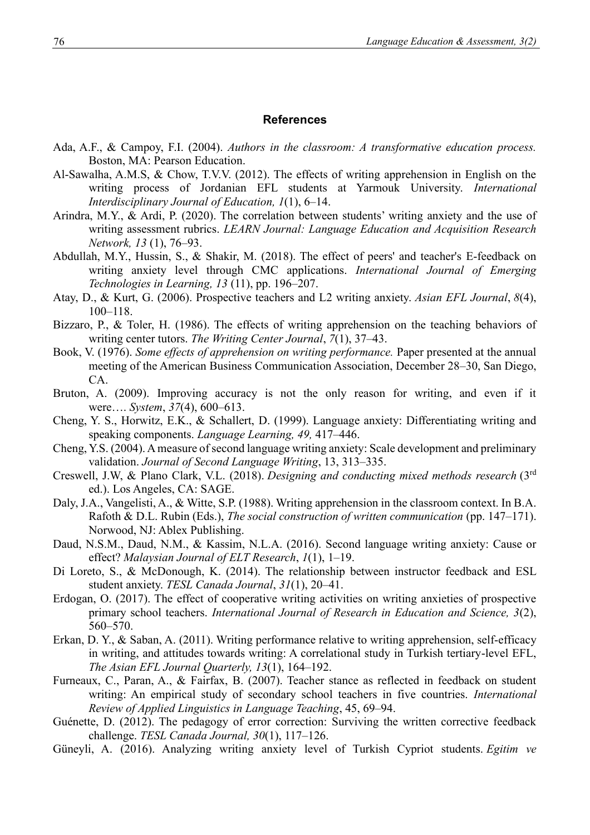#### **References**

- Ada, A.F., & Campoy, F.I. (2004). *Authors in the classroom: A transformative education process.* Boston, MA: Pearson Education.
- Al-Sawalha, A.M.S, & Chow, T.V.V. (2012). The effects of writing apprehension in English on the writing process of Jordanian EFL students at Yarmouk University. *International Interdisciplinary Journal of Education, 1*(1), 6–14.
- Arindra, M.Y., & Ardi, P. (2020). The correlation between students' writing anxiety and the use of writing assessment rubrics. *LEARN Journal: Language Education and Acquisition Research Network, 13* (1), 76–93.
- Abdullah, M.Y., Hussin, S., & Shakir, M. (2018). The effect of peers' and teacher's E-feedback on writing anxiety level through CMC applications. *International Journal of Emerging Technologies in Learning, 13* (11), pp. 196–207.
- Atay, D., & Kurt, G. (2006). Prospective teachers and L2 writing anxiety. *Asian EFL Journal*, *8*(4), 100–118.
- Bizzaro, P., & Toler, H. (1986). The effects of writing apprehension on the teaching behaviors of writing center tutors. *The Writing Center Journal*, *7*(1), 37–43.
- Book, V. (1976). *Some effects of apprehension on writing performance.* Paper presented at the annual meeting of the American Business Communication Association, December 28–30, San Diego, CA.
- Bruton, A. (2009). Improving accuracy is not the only reason for writing, and even if it were…. *System*, *37*(4), 600–613.
- Cheng, Y. S., Horwitz, E.K., & Schallert, D. (1999). Language anxiety: Differentiating writing and speaking components. *Language Learning, 49,* 417–446.
- Cheng, Y.S. (2004). A measure of second language writing anxiety: Scale development and preliminary validation. *Journal of Second Language Writing*, 13, 313–335.
- Creswell, J.W, & Plano Clark, V.L. (2018). *Designing and conducting mixed methods research* (3rd ed.). Los Angeles, CA: SAGE.
- Daly, J.A., Vangelisti, A., & Witte, S.P. (1988). Writing apprehension in the classroom context. In B.A. Rafoth & D.L. Rubin (Eds.), *The social construction of written communication* (pp. 147–171). Norwood, NJ: Ablex Publishing.
- Daud, N.S.M., Daud, N.M., & Kassim, N.L.A. (2016). Second language writing anxiety: Cause or effect? *Malaysian Journal of ELT Research*, *1*(1), 1–19.
- Di Loreto, S., & McDonough, K. (2014). The relationship between instructor feedback and ESL student anxiety. *TESL Canada Journal*, *31*(1), 20–41.
- Erdogan, O. (2017). The effect of cooperative writing activities on writing anxieties of prospective primary school teachers. *International Journal of Research in Education and Science, 3*(2), 560–570.
- Erkan, D. Y., & Saban, A. (2011). Writing performance relative to writing apprehension, self-efficacy in writing, and attitudes towards writing: A correlational study in Turkish tertiary-level EFL, *The Asian EFL Journal Quarterly, 13*(1), 164–192.
- Furneaux, C., Paran, A., & Fairfax, B. (2007). Teacher stance as reflected in feedback on student writing: An empirical study of secondary school teachers in five countries. *International Review of Applied Linguistics in Language Teaching*, 45, 69–94.
- Guénette, D. (2012). The pedagogy of error correction: Surviving the written corrective feedback challenge. *TESL Canada Journal, 30*(1), 117–126.
- Güneyli, A. (2016). Analyzing writing anxiety level of Turkish Cypriot students. *Egitim ve*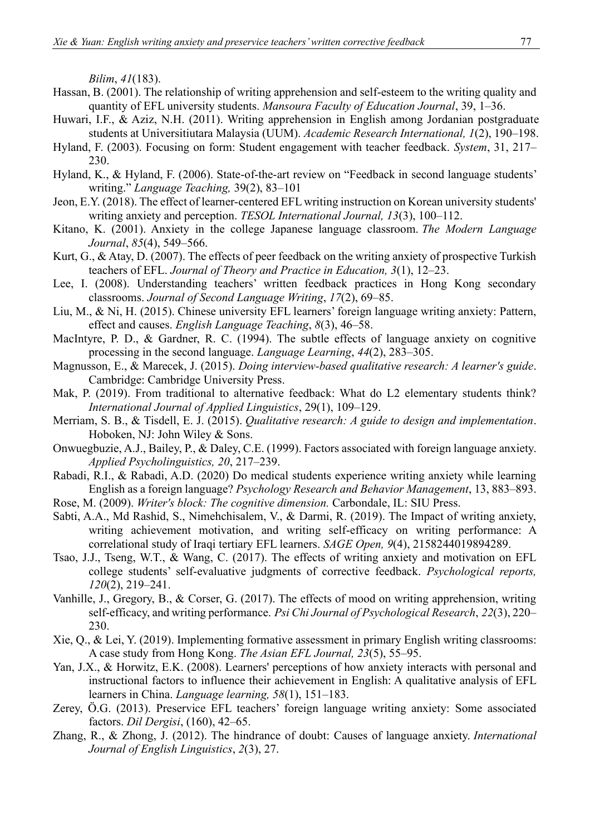*Bilim*, *41*(183).

- Hassan, B. (2001). The relationship of writing apprehension and self-esteem to the writing quality and quantity of EFL university students. *Mansoura Faculty of Education Journal*, 39, 1–36.
- Huwari, I.F., & Aziz, N.H. (2011). Writing apprehension in English among Jordanian postgraduate students at Universitiutara Malaysia (UUM). *Academic Research International, 1*(2), 190–198.
- Hyland, F. (2003). Focusing on form: Student engagement with teacher feedback. *System*, 31, 217– 230.
- Hyland, K., & Hyland, F. (2006). State-of-the-art review on "Feedback in second language students' writing." *Language Teaching,* 39(2), 83–101
- Jeon, E.Y. (2018). The effect of learner-centered EFL writing instruction on Korean university students' writing anxiety and perception. *TESOL International Journal, 13*(3), 100–112.
- Kitano, K. (2001). Anxiety in the college Japanese language classroom. *The Modern Language Journal*, *85*(4), 549–566.
- Kurt, G., & Atay, D. (2007). The effects of peer feedback on the writing anxiety of prospective Turkish teachers of EFL. *Journal of Theory and Practice in Education, 3*(1), 12–23.
- Lee, I. (2008). Understanding teachers' written feedback practices in Hong Kong secondary classrooms. *Journal of Second Language Writing*, *17*(2), 69–85.
- Liu, M., & Ni, H. (2015). Chinese university EFL learners' foreign language writing anxiety: Pattern, effect and causes. *English Language Teaching*, *8*(3), 46–58.
- MacIntyre, P. D., & Gardner, R. C. (1994). The subtle effects of language anxiety on cognitive processing in the second language. *Language Learning*, *44*(2), 283–305.
- Magnusson, E., & Marecek, J. (2015). *Doing interview-based qualitative research: A learner's guide*. Cambridge: Cambridge University Press.
- Mak, P. (2019). From traditional to alternative feedback: What do L2 elementary students think? *International Journal of Applied Linguistics*, 29(1), 109–129.
- Merriam, S. B., & Tisdell, E. J. (2015). *Qualitative research: A guide to design and implementation*. Hoboken, NJ: John Wiley & Sons.
- Onwuegbuzie, A.J., Bailey, P., & Daley, C.E. (1999). Factors associated with foreign language anxiety. *Applied Psycholinguistics, 20*, 217–239.
- Rabadi, R.I., & Rabadi, A.D. (2020) Do medical students experience writing anxiety while learning English as a foreign language? *Psychology Research and Behavior Management*, 13, 883–893.
- Rose, M. (2009). *Writer's block: The cognitive dimension.* Carbondale, IL: SIU Press.
- Sabti, A.A., Md Rashid, S., Nimehchisalem, V., & Darmi, R. (2019). The Impact of writing anxiety, writing achievement motivation, and writing self-efficacy on writing performance: A correlational study of Iraqi tertiary EFL learners. *SAGE Open, 9*(4), 2158244019894289.
- Tsao, J.J., Tseng, W.T., & Wang, C. (2017). The effects of writing anxiety and motivation on EFL college students' self-evaluative judgments of corrective feedback. *Psychological reports, 120*(2), 219–241.
- Vanhille, J., Gregory, B., & Corser, G. (2017). The effects of mood on writing apprehension, writing self-efficacy, and writing performance. *Psi Chi Journal of Psychological Research*, *22*(3), 220– 230.
- Xie, Q., & Lei, Y. (2019). Implementing formative assessment in primary English writing classrooms: A case study from Hong Kong. *The Asian EFL Journal, 23*(5), 55–95.
- Yan, J.X., & Horwitz, E.K. (2008). Learners' perceptions of how anxiety interacts with personal and instructional factors to influence their achievement in English: A qualitative analysis of EFL learners in China. *Language learning, 58*(1), 151–183.
- Zerey, Ö.G. (2013). Preservice EFL teachers' foreign language writing anxiety: Some associated factors. *Dil Dergisi*, (160), 42–65.
- Zhang, R., & Zhong, J. (2012). The hindrance of doubt: Causes of language anxiety. *International Journal of English Linguistics*, *2*(3), 27.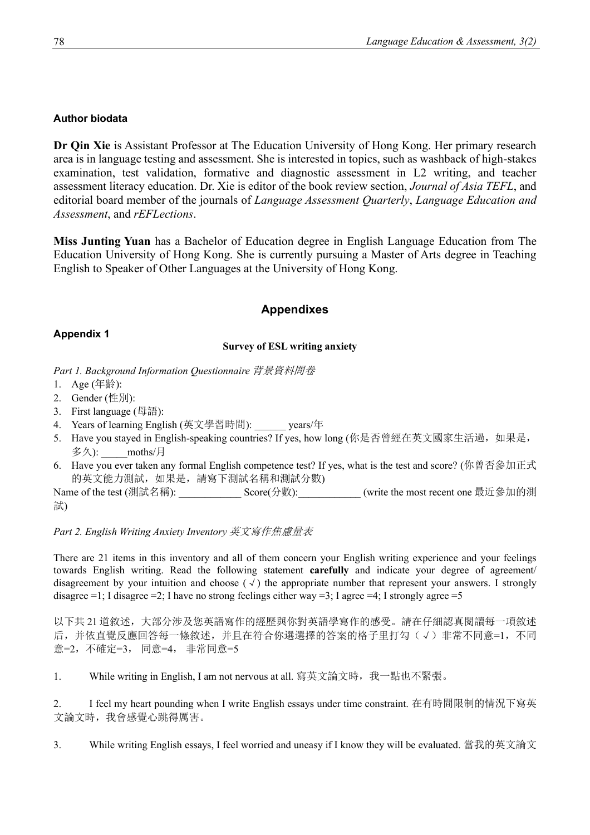## **Author biodata**

**Dr Qin Xie** is Assistant Professor at The Education University of Hong Kong. Her primary research area is in language testing and assessment. She is interested in topics, such as washback of high-stakes examination, test validation, formative and diagnostic assessment in L2 writing, and teacher assessment literacy education. Dr. Xie is editor of the book review section, *Journal of Asia TEFL*, and editorial board member of the journals of *Language Assessment Quarterly*, *Language Education and Assessment*, and *rEFLections*.

**Miss Junting Yuan** has a Bachelor of Education degree in English Language Education from The Education University of Hong Kong. She is currently pursuing a Master of Arts degree in Teaching English to Speaker of Other Languages at the University of Hong Kong.

# **Appendixes**

## **Appendix 1**

## **Survey of ESL writing anxiety**

*Part 1. Background Information Questionnaire* 背景資料問卷

- 1. Age (年齡):
- 2. Gender (性別):
- 3. First language (母語):
- 4. Years of learning English (英文學習時間): years/年
- 5. Have you stayed in English-speaking countries? If yes, how long (你是否曾經在英文國家生活過,如果是, 多久):  $\qquad \qquad \text{moths}/\text{\textsf{F}}$
- 6. Have you ever taken any formal English competence test? If yes, what is the test and score? (你曾否參加正式 的英文能力測試,如果是,請寫下測試名稱和測試分數)

Name of the test (測試名稱): \_\_\_\_\_\_\_\_\_\_\_\_\_\_\_ Score(分數): \_\_\_\_\_\_\_\_\_\_ (write the most recent one 最近參加的測 試)

## *Part 2. English Writing Anxiety Inventory* 英文寫作焦慮量表

There are 21 items in this inventory and all of them concern your English writing experience and your feelings towards English writing. Read the following statement **carefully** and indicate your degree of agreement/ disagreement by your intuition and choose  $(\sqrt{)}$  the appropriate number that represent your answers. I strongly disagree  $=1$ ; I disagree  $=2$ ; I have no strong feelings either way  $=3$ ; I agree  $=4$ ; I strongly agree  $=5$ 

以下共 21 道敘述,大部分涉及您英語寫作的經歷與你對英語學寫作的感受。請在仔細認真閱讀每一項敘述 后,并依直覺反應回答每一條敘述,并且在符合你選選擇的答案的格子里打勾(√)非常不同意=1,不同 意=2,不確定=3, 同意=4, 非常同意=5

1. While writing in English, I am not nervous at all. 寫英文論文時,我一點也不緊張。

2. I feel my heart pounding when I write English essays under time constraint. 在有時間限制的情況下寫英 文論文時,我會感覺心跳得厲害。

3. While writing English essays, I feel worried and uneasy if I know they will be evaluated. 當我的英文論文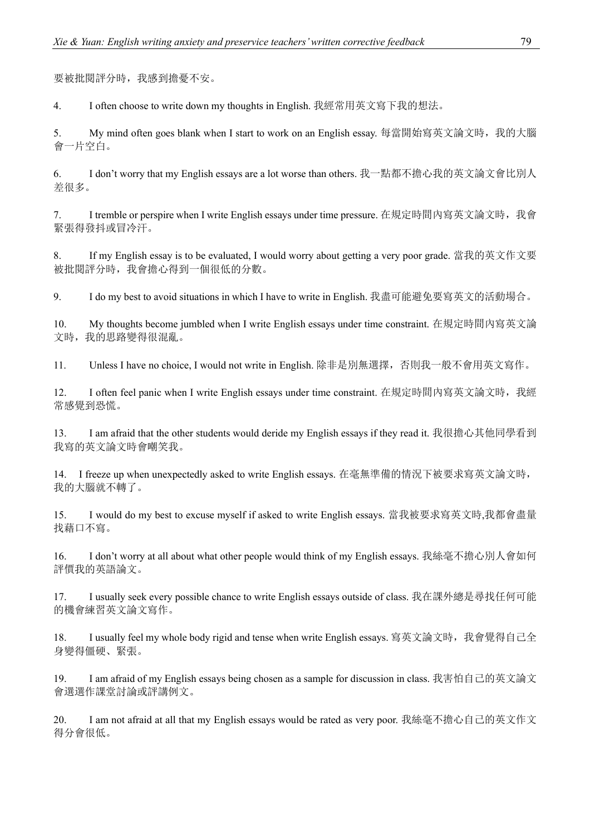要被批閱評分時,我感到擔憂不安。

4. I often choose to write down my thoughts in English. 我經常用英文寫下我的想法。

5. My mind often goes blank when I start to work on an English essay. 每當開始寫英文論文時,我的大腦 會一片空白。

6. I don't worry that my English essays are a lot worse than others. 我一點都不擔心我的英文論文會比別人 差很多。

7. I tremble or perspire when I write English essays under time pressure. 在規定時間內寫英文論文時,我會 緊張得發抖或冒冷汗。

8. If my English essay is to be evaluated, I would worry about getting a very poor grade. 當我的英文作文要 被批閱評分時,我會擔心得到一個很低的分數。

9. I do my best to avoid situations in which I have to write in English. 我盡可能避免要寫英文的活動場合。

10. My thoughts become jumbled when I write English essays under time constraint. 在規定時間內寫英文論 文時,我的思路變得很混亂。

11. Unless I have no choice, I would not write in English. 除非是別無選擇,否則我一般不會用英文寫作。

12. I often feel panic when I write English essays under time constraint. 在規定時間內寫英文論文時,我經 常感覺到恐慌。

13. I am afraid that the other students would deride my English essays if they read it. 我很擔心其他同學看到 我寫的英文論文時會嘲笑我。

14. I freeze up when unexpectedly asked to write English essays. 在毫無準備的情況下被要求寫英文論文時, 我的大腦就不轉了。

15. I would do my best to excuse myself if asked to write English essays. 當我被要求寫英文時,我都會盡量 找藉口不寫。

16. I don't worry at all about what other people would think of my English essays. 我絲毫不擔心別人會如何 評價我的英語論文。

17. I usually seek every possible chance to write English essays outside of class. 我在課外總是尋找任何可能 的機會練習英文論文寫作。

18. I usually feel my whole body rigid and tense when write English essays. 寫英文論文時, 我會覺得自己全 身變得僵硬、緊張。

19. I am afraid of my English essays being chosen as a sample for discussion in class. 我害怕自己的英文論文 會選選作課堂討論或評講例文。

20. I am not afraid at all that my English essays would be rated as very poor. 我絲毫不擔心自己的英文作文 得分會很低。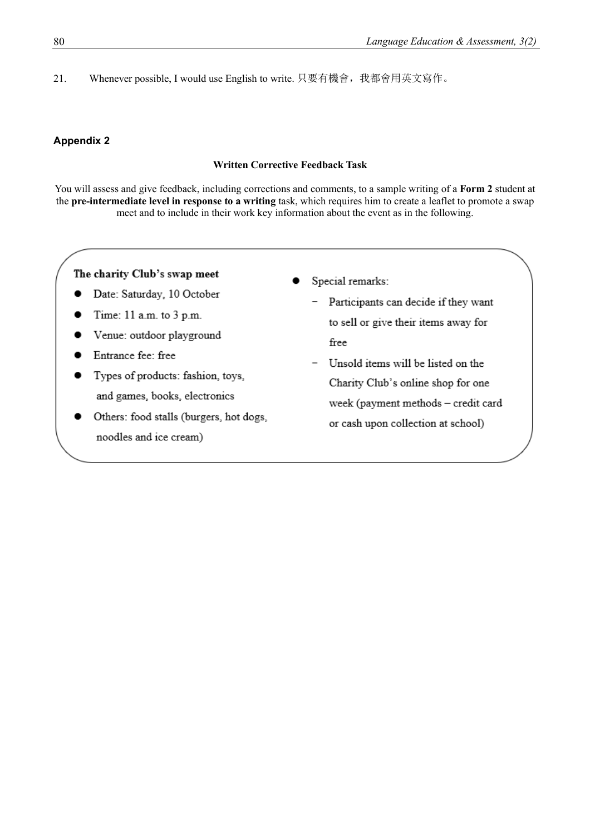21. Whenever possible, I would use English to write. 只要有機會,我都會用英文寫作。

#### **Appendix 2**

#### **Written Corrective Feedback Task**

You will assess and give feedback, including corrections and comments, to a sample writing of a **Form 2** student at the **pre-intermediate level in response to a writing** task, which requires him to create a leaflet to promote a swap meet and to include in their work key information about the event as in the following.

#### The charity Club's swap meet

- Date: Saturday, 10 October  $\bullet$
- Time: 11 a.m. to 3 p.m.
- Venue: outdoor playground
- Entrance fee: free
- Types of products: fashion, toys, and games, books, electronics
- Others: food stalls (burgers, hot dogs, noodles and ice cream)
- Special remarks:
	- Participants can decide if they want to sell or give their items away for free
	- Unsold items will be listed on the Charity Club's online shop for one week (payment methods - credit card or cash upon collection at school)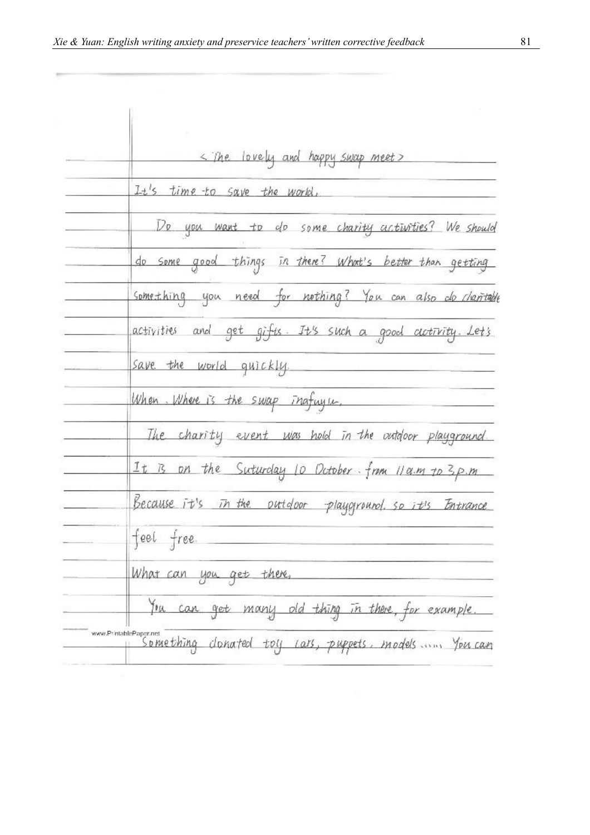$\frac{1}{2}$ 

| < The lovely and happy swap meet>                                               |  |
|---------------------------------------------------------------------------------|--|
| It's time to save the world,                                                    |  |
| Do you want to do some charity activities? We should                            |  |
| do some good things in there? What's better than getting                        |  |
| something you need for nothing? You can also do charitable                      |  |
| activities and get gifts. It's such a good activity. Let's                      |  |
| save the world quickly.                                                         |  |
| When Where is the swap inafugue.                                                |  |
| The charity event was hold in the outdoor playground.                           |  |
| It is on the Suturday 10 October from 11 a.m to 3p.m                            |  |
| Because it's in the outdoor playground so it's Entrance                         |  |
| feel free.                                                                      |  |
| What can you get there,                                                         |  |
| You can get many old thing in there, for example.                               |  |
| www.PrintablePaper.net<br>Something clonated toy cars, puppets, models  You can |  |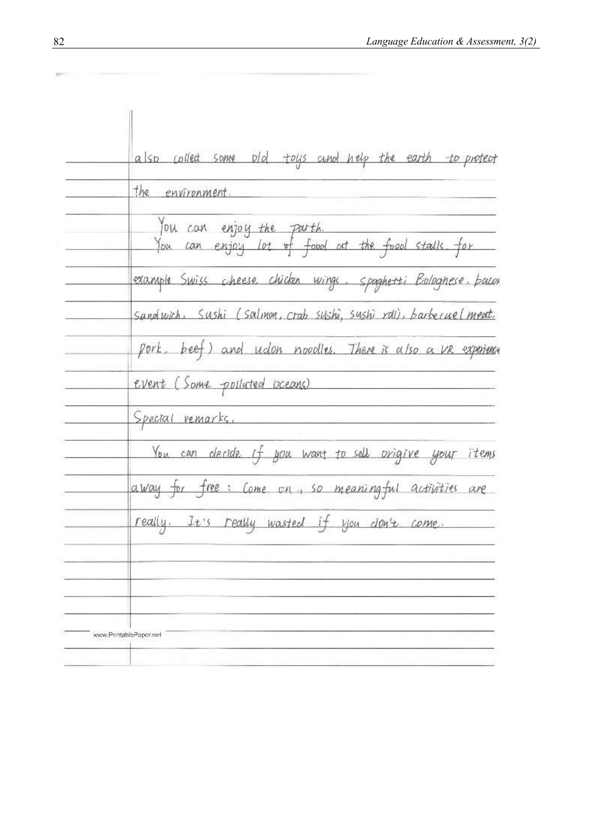| also collect some old toys and nelp the earth to protect                                  |
|-------------------------------------------------------------------------------------------|
| the <i>environment</i> .                                                                  |
| You can enjoy the parth.<br>You can enjoy lot <del>of f</del> oud at the food stalls, for |
| example Swiss cheese chicken wings. Spaghetti Bologhese, bacor                            |
| Sandwich, Sushi (Salmon, crab sushi, sushi rali), barbecuel meat.                         |
| pork, beef) and udon noodles. There is also a VR experience                               |
| event (Some pollated oceans)                                                              |
| <u>Special</u> remarks,                                                                   |
| You can clecide if you want to sell prigive your items                                    |
| away for free: Come on, so meaningful activities are                                      |
| really. It's really wasted if you don't come.                                             |
|                                                                                           |
|                                                                                           |
|                                                                                           |

 $\mathbb{R}^{n\times n}$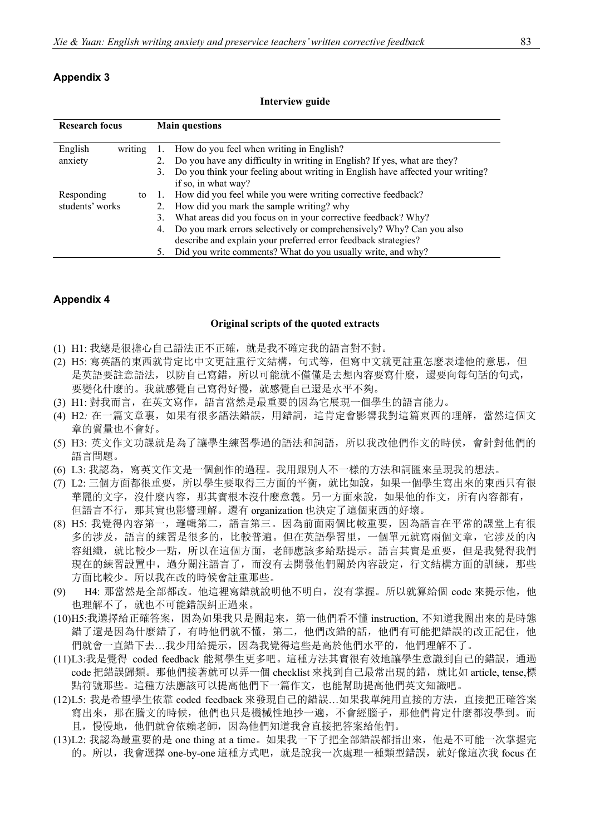| <b>Research focus</b> |    | <b>Main questions</b>                                                          |
|-----------------------|----|--------------------------------------------------------------------------------|
| English<br>writing    |    | 1. How do you feel when writing in English?                                    |
| anxiety               |    | 2. Do you have any difficulty in writing in English? If yes, what are they?    |
|                       | 3. | Do you think your feeling about writing in English have affected your writing? |
|                       |    | if so, in what way?                                                            |
| Responding<br>to      |    | 1. How did you feel while you were writing corrective feedback?                |
| students' works       |    | 2. How did you mark the sample writing? why                                    |
|                       | 3. | What areas did you focus on in your corrective feedback? Why?                  |
|                       |    | 4. Do you mark errors selectively or comprehensively? Why? Can you also        |
|                       |    | describe and explain your preferred error feedback strategies?                 |
|                       | 5. | Did you write comments? What do you usually write, and why?                    |

**Interview guide**

#### **Appendix 4**

#### **Original scripts of the quoted extracts**

- (1) H1: 我總是很擔心自己語法正不正確,就是我不確定我的語言對不對。
- (2) H5: 寫英語的東西就肯定比中文更註重行文結構,句式等,但寫中文就更註重怎麽表達他的意思,但 是英語要註意語法,以防自己寫錯,所以可能就不僅僅是去想內容要寫什麼,還要向每句話的句式, 要變化什麽的。我就感覺自己寫得好慢,就感覺自己還是水平不夠。
- (3) H1: 對我而言,在英文寫作,語言當然是最重要的因為它展現一個學生的語言能力。
- (4) H2*:* 在一篇文章裏,如果有很多語法錯誤,用錯詞,這肯定會影響我對這篇東西的理解,當然這個文 章的質量也不會好。
- (5) H3: 英文作文功課就是為了讓學生練習學過的語法和詞語,所以我改他們作文的時候,會針對他們的 語言問題。
- (6) L3: 我認為,寫英文作文是一個創作的過程。我用跟別人不一樣的方法和詞匯來呈現我的想法。
- (7) L2: 三個方面都很重要,所以學生要取得三方面的平衡,就比如說,如果一個學生寫出來的東西只有很 華麗的文字,沒什麽內容,那其實根本沒什麽意義。另一方面來說,如果他的作文,所有內容都有, 但語言不行,那其實也影響理解。還有 organization 也決定了這個東西的好壞。
- (8) H5: 我覺得內容第一,邏輯第二,語言第三。因為前面兩個比較重要,因為語言在平常的課堂上有很 多的涉及,語言的練習是很多的,比較普遍。但在英語學習里,一個單元就寫兩個文章,它涉及的內 容組織, 就比較少一點, 所以在這個方面, 老師應該多給點提示。語言其實是重要, 但是我覺得我們 現在的練習設置中,過分關注語言了,而沒有去開發他們關於內容設定,行文結構方面的訓練,那些 方面比較少。所以我在改的時候會註重那些。
- (9) H4: 那當然是全部都改。他這裡寫錯就說明他不明白, 沒有掌握。所以就算給個 code 來提示他, 他 也理解不了,就也不可能錯誤糾正過來。
- (10)H5:我選擇給正確答案,因為如果我只是圈起來,第一他們看不懂 instruction, 不知道我圈出來的是時態 錯了還是因為什麼錯了,有時他們就不懂,第二,他們改錯的話,他們有可能把錯誤的改正記住,他 們就會一直錯下去…我少用給提示,因為我覺得這些是高於他們水平的,他們理解不了。
- (11)L3:我是覺得 coded feedback 能幫學生更多吧。這種方法其實很有效地讓學生意識到自己的錯誤,通過 code 把錯誤歸類。那他們接著就可以弄一個 checklist 來找到自己最常出現的錯,就比如 article, tense,標 點符號那些。這種方法應該可以提高他們下一篇作文,也能幫助提高他們英文知識吧。
- (12)L5: 我是希望學生依靠 coded feedback 來發現自己的錯誤…如果我單純用直接的方法,直接把正確答案 寫出來,那在謄文的時候,他們也只是機械性地抄一遍,不會經腦子,那他們肯定什麼都沒學到。而 且,慢慢地,他們就會依賴老師,因為他們知道我會直接把答案給他們。
- (13)L2: 我認為最重要的是 one thing at a time。如果我一下子把全部錯誤都指出來,他是不可能一次掌握完 的。所以,我會選擇 one-by-one 這種方式吧,就是說我一次處理一種類型錯誤,就好像這次我 focus 在